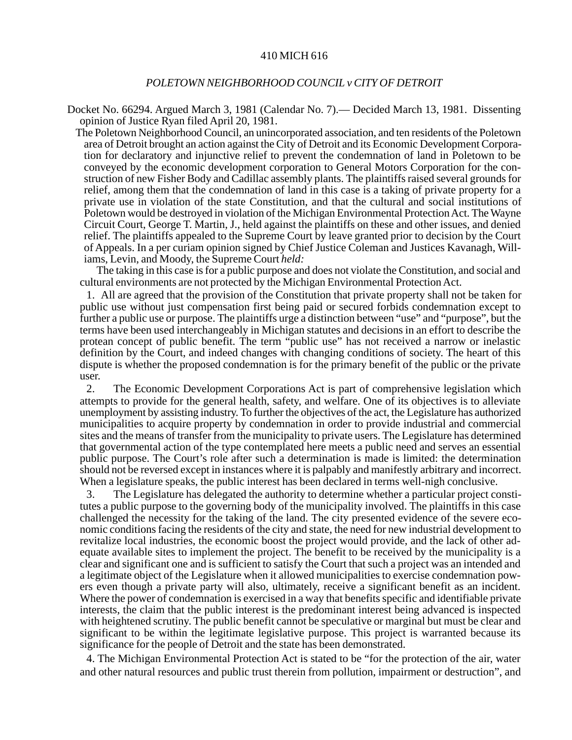#### 410 MICH 616

#### *POLETOWN NEIGHBORHOOD COUNCIL v CITY OF DETROIT*

Docket No. 66294. Argued March 3, 1981 (Calendar No. 7).— Decided March 13, 1981. Dissenting opinion of Justice Ryan filed April 20, 1981.

The Poletown Neighborhood Council, an unincorporated association, and ten residents of the Poletown area of Detroit brought an action against the City of Detroit and its Economic Development Corporation for declaratory and injunctive relief to prevent the condemnation of land in Poletown to be conveyed by the economic development corporation to General Motors Corporation for the construction of new Fisher Body and Cadillac assembly plants. The plaintiffs raised several grounds for relief, among them that the condemnation of land in this case is a taking of private property for a private use in violation of the state Constitution, and that the cultural and social institutions of Poletown would be destroyed in violation of the Michigan Environmental Protection Act. The Wayne Circuit Court, George T. Martin, J., held against the plaintiffs on these and other issues, and denied relief. The plaintiffs appealed to the Supreme Court by leave granted prior to decision by the Court of Appeals. In a per curiam opinion signed by Chief Justice Coleman and Justices Kavanagh, Williams, Levin, and Moody, the Supreme Court *held:*

The taking in this case is for a public purpose and does not violate the Constitution, and social and cultural environments are not protected by the Michigan Environmental Protection Act.

1. All are agreed that the provision of the Constitution that private property shall not be taken for public use without just compensation first being paid or secured forbids condemnation except to further a public use or purpose. The plaintiffs urge a distinction between "use" and "purpose", but the terms have been used interchangeably in Michigan statutes and decisions in an effort to describe the protean concept of public benefit. The term "public use" has not received a narrow or inelastic definition by the Court, and indeed changes with changing conditions of society. The heart of this dispute is whether the proposed condemnation is for the primary benefit of the public or the private user.

2. The Economic Development Corporations Act is part of comprehensive legislation which attempts to provide for the general health, safety, and welfare. One of its objectives is to alleviate unemployment by assisting industry. To further the objectives of the act, the Legislature has authorized municipalities to acquire property by condemnation in order to provide industrial and commercial sites and the means of transfer from the municipality to private users. The Legislature has determined that governmental action of the type contemplated here meets a public need and serves an essential public purpose. The Court's role after such a determination is made is limited: the determination should not be reversed except in instances where it is palpably and manifestly arbitrary and incorrect. When a legislature speaks, the public interest has been declared in terms well-nigh conclusive.

3. The Legislature has delegated the authority to determine whether a particular project constitutes a public purpose to the governing body of the municipality involved. The plaintiffs in this case challenged the necessity for the taking of the land. The city presented evidence of the severe economic conditions facing the residents of the city and state, the need for new industrial development to revitalize local industries, the economic boost the project would provide, and the lack of other adequate available sites to implement the project. The benefit to be received by the municipality is a clear and significant one and is sufficient to satisfy the Court that such a project was an intended and a legitimate object of the Legislature when it allowed municipalities to exercise condemnation powers even though a private party will also, ultimately, receive a significant benefit as an incident. Where the power of condemnation is exercised in a way that benefits specific and identifiable private interests, the claim that the public interest is the predominant interest being advanced is inspected with heightened scrutiny. The public benefit cannot be speculative or marginal but must be clear and significant to be within the legitimate legislative purpose. This project is warranted because its significance for the people of Detroit and the state has been demonstrated.

4. The Michigan Environmental Protection Act is stated to be "for the protection of the air, water and other natural resources and public trust therein from pollution, impairment or destruction", and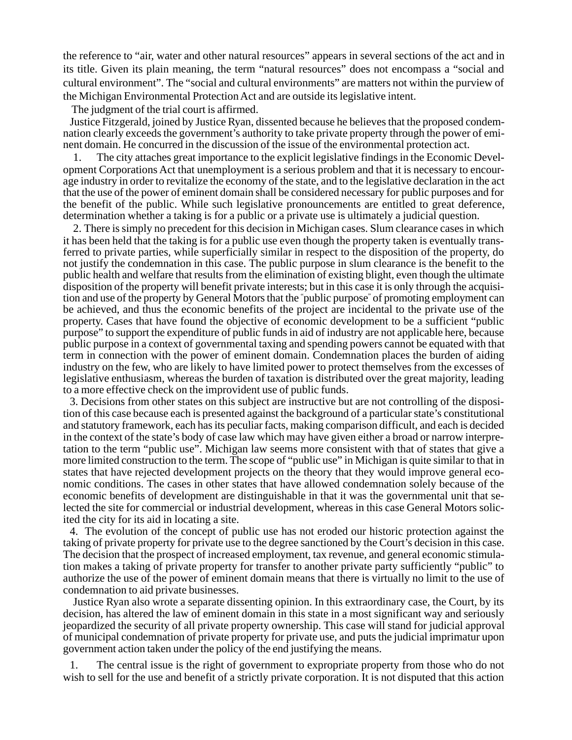the reference to "air, water and other natural resources" appears in several sections of the act and in its title. Given its plain meaning, the term "natural resources" does not encompass a "social and cultural environment". The "social and cultural environments" are matters not within the purview of the Michigan Environmental Protection Act and are outside its legislative intent.

The judgment of the trial court is affirmed.

Justice Fitzgerald, joined by Justice Ryan, dissented because he believes that the proposed condemnation clearly exceeds the government's authority to take private property through the power of eminent domain. He concurred in the discussion of the issue of the environmental protection act.

1. The city attaches great importance to the explicit legislative findings in the Economic Development Corporations Act that unemployment is a serious problem and that it is necessary to encourage industry in order to revitalize the economy of the state, and to the legislative declaration in the act that the use of the power of eminent domain shall be considered necessary for public purposes and for the benefit of the public. While such legislative pronouncements are entitled to great deference, determination whether a taking is for a public or a private use is ultimately a judicial question.

2. There is simply no precedent for this decision in Michigan cases. Slum clearance cases in which it has been held that the taking is for a public use even though the property taken is eventually transferred to private parties, while superficially similar in respect to the disposition of the property, do not justify the condemnation in this case. The public purpose in slum clearance is the benefit to the public health and welfare that results from the elimination of existing blight, even though the ultimate disposition of the property will benefit private interests; but in this case it is only through the acquisition and use of the property by General Motors that the " public purpose" of promoting employment can be achieved, and thus the economic benefits of the project are incidental to the private use of the property. Cases that have found the objective of economic development to be a sufficient "public purpose" to support the expenditure of public funds in aid of industry are not applicable here, because public purpose in a context of governmental taxing and spending powers cannot be equated with that term in connection with the power of eminent domain. Condemnation places the burden of aiding industry on the few, who are likely to have limited power to protect themselves from the excesses of legislative enthusiasm, whereas the burden of taxation is distributed over the great majority, leading to a more effective check on the improvident use of public funds.

3. Decisions from other states on this subject are instructive but are not controlling of the disposition of this case because each is presented against the background of a particular state's constitutional and statutory framework, each has its peculiar facts, making comparison difficult, and each is decided in the context of the state's body of case law which may have given either a broad or narrow interpretation to the term "public use". Michigan law seems more consistent with that of states that give a more limited construction to the term. The scope of "public use" in Michigan is quite similar to that in states that have rejected development projects on the theory that they would improve general economic conditions. The cases in other states that have allowed condemnation solely because of the economic benefits of development are distinguishable in that it was the governmental unit that selected the site for commercial or industrial development, whereas in this case General Motors solicited the city for its aid in locating a site.

4. The evolution of the concept of public use has not eroded our historic protection against the taking of private property for private use to the degree sanctioned by the Court's decision in this case. The decision that the prospect of increased employment, tax revenue, and general economic stimulation makes a taking of private property for transfer to another private party sufficiently "public" to authorize the use of the power of eminent domain means that there is virtually no limit to the use of condemnation to aid private businesses.

Justice Ryan also wrote a separate dissenting opinion. In this extraordinary case, the Court, by its decision, has altered the law of eminent domain in this state in a most significant way and seriously jeopardized the security of all private property ownership. This case will stand for judicial approval of municipal condemnation of private property for private use, and puts the judicial imprimatur upon government action taken under the policy of the end justifying the means.

1. The central issue is the right of government to expropriate property from those who do not wish to sell for the use and benefit of a strictly private corporation. It is not disputed that this action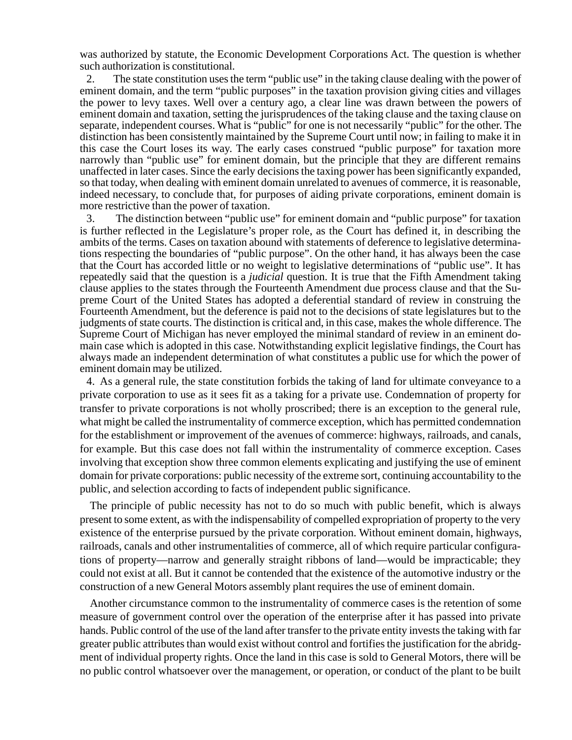was authorized by statute, the Economic Development Corporations Act. The question is whether such authorization is constitutional.

2. The state constitution uses the term "public use" in the taking clause dealing with the power of eminent domain, and the term "public purposes" in the taxation provision giving cities and villages the power to levy taxes. Well over a century ago, a clear line was drawn between the powers of eminent domain and taxation, setting the jurisprudences of the taking clause and the taxing clause on separate, independent courses. What is "public" for one is not necessarily "public" for the other. The distinction has been consistently maintained by the Supreme Court until now; in failing to make it in this case the Court loses its way. The early cases construed "public purpose" for taxation more narrowly than "public use" for eminent domain, but the principle that they are different remains unaffected in later cases. Since the early decisions the taxing power has been significantly expanded, so that today, when dealing with eminent domain unrelated to avenues of commerce, it is reasonable, indeed necessary, to conclude that, for purposes of aiding private corporations, eminent domain is more restrictive than the power of taxation.

3. The distinction between "public use" for eminent domain and "public purpose" for taxation is further reflected in the Legislature's proper role, as the Court has defined it, in describing the ambits of the terms. Cases on taxation abound with statements of deference to legislative determinations respecting the boundaries of "public purpose". On the other hand, it has always been the case that the Court has accorded little or no weight to legislative determinations of "public use". It has repeatedly said that the question is a *judicial* question. It is true that the Fifth Amendment taking clause applies to the states through the Fourteenth Amendment due process clause and that the Supreme Court of the United States has adopted a deferential standard of review in construing the Fourteenth Amendment, but the deference is paid not to the decisions of state legislatures but to the judgments of state courts. The distinction is critical and, in this case, makes the whole difference. The Supreme Court of Michigan has never employed the minimal standard of review in an eminent domain case which is adopted in this case. Notwithstanding explicit legislative findings, the Court has always made an independent determination of what constitutes a public use for which the power of eminent domain may be utilized.

4. As a general rule, the state constitution forbids the taking of land for ultimate conveyance to a private corporation to use as it sees fit as a taking for a private use. Condemnation of property for transfer to private corporations is not wholly proscribed; there is an exception to the general rule, what might be called the instrumentality of commerce exception, which has permitted condemnation for the establishment or improvement of the avenues of commerce: highways, railroads, and canals, for example. But this case does not fall within the instrumentality of commerce exception. Cases involving that exception show three common elements explicating and justifying the use of eminent domain for private corporations: public necessity of the extreme sort, continuing accountability to the public, and selection according to facts of independent public significance.

The principle of public necessity has not to do so much with public benefit, which is always present to some extent, as with the indispensability of compelled expropriation of property to the very existence of the enterprise pursued by the private corporation. Without eminent domain, highways, railroads, canals and other instrumentalities of commerce, all of which require particular configurations of property—narrow and generally straight ribbons of land—would be impracticable; they could not exist at all. But it cannot be contended that the existence of the automotive industry or the construction of a new General Motors assembly plant requires the use of eminent domain.

Another circumstance common to the instrumentality of commerce cases is the retention of some measure of government control over the operation of the enterprise after it has passed into private hands. Public control of the use of the land after transfer to the private entity invests the taking with far greater public attributes than would exist without control and fortifies the justification for the abridgment of individual property rights. Once the land in this case is sold to General Motors, there will be no public control whatsoever over the management, or operation, or conduct of the plant to be built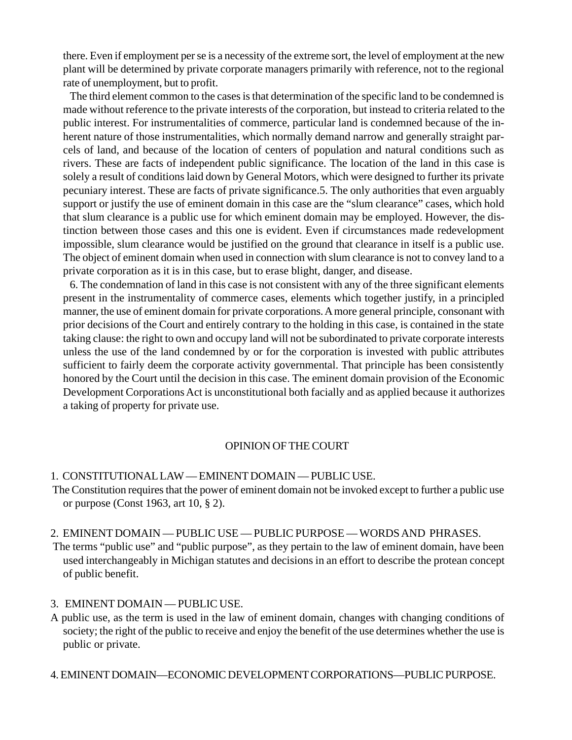there. Even if employment per se is a necessity of the extreme sort, the level of employment at the new plant will be determined by private corporate managers primarily with reference, not to the regional rate of unemployment, but to profit.

The third element common to the cases is that determination of the specific land to be condemned is made without reference to the private interests of the corporation, but instead to criteria related to the public interest. For instrumentalities of commerce, particular land is condemned because of the inherent nature of those instrumentalities, which normally demand narrow and generally straight parcels of land, and because of the location of centers of population and natural conditions such as rivers. These are facts of independent public significance. The location of the land in this case is solely a result of conditions laid down by General Motors, which were designed to further its private pecuniary interest. These are facts of private significance.5. The only authorities that even arguably support or justify the use of eminent domain in this case are the "slum clearance" cases, which hold that slum clearance is a public use for which eminent domain may be employed. However, the distinction between those cases and this one is evident. Even if circumstances made redevelopment impossible, slum clearance would be justified on the ground that clearance in itself is a public use. The object of eminent domain when used in connection with slum clearance is not to convey land to a private corporation as it is in this case, but to erase blight, danger, and disease.

6. The condemnation of land in this case is not consistent with any of the three significant elements present in the instrumentality of commerce cases, elements which together justify, in a principled manner, the use of eminent domain for private corporations. A more general principle, consonant with prior decisions of the Court and entirely contrary to the holding in this case, is contained in the state taking clause: the right to own and occupy land will not be subordinated to private corporate interests unless the use of the land condemned by or for the corporation is invested with public attributes sufficient to fairly deem the corporate activity governmental. That principle has been consistently honored by the Court until the decision in this case. The eminent domain provision of the Economic Development Corporations Act is unconstitutional both facially and as applied because it authorizes a taking of property for private use.

### OPINION OF THE COURT

### 1. CONSTITUTIONAL LAW — EMINENT DOMAIN — PUBLIC USE. The Constitution requires that the power of eminent domain not be invoked except to further a public use or purpose (Const 1963, art 10, § 2).

### 2. EMINENT DOMAIN — PUBLIC USE — PUBLIC PURPOSE — WORDS AND PHRASES.

 The terms "public use" and "public purpose", as they pertain to the law of eminent domain, have been used interchangeably in Michigan statutes and decisions in an effort to describe the protean concept of public benefit.

### 3. EMINENT DOMAIN — PUBLIC USE.

- A public use, as the term is used in the law of eminent domain, changes with changing conditions of society; the right of the public to receive and enjoy the benefit of the use determines whether the use is public or private.
- 4. EMINENT DOMAIN—ECONOMIC DEVELOPMENT CORPORATIONS—PUBLIC PURPOSE.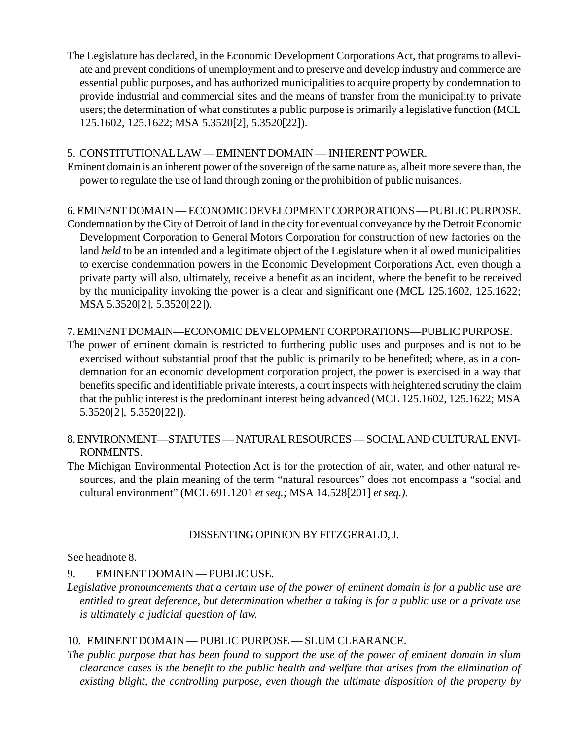The Legislature has declared, in the Economic Development Corporations Act, that programs to alleviate and prevent conditions of unemployment and to preserve and develop industry and commerce are essential public purposes, and has authorized municipalities to acquire property by condemnation to provide industrial and commercial sites and the means of transfer from the municipality to private users; the determination of what constitutes a public purpose is primarily a legislative function (MCL 125.1602, 125.1622; MSA 5.3520[2], 5.3520[22]).

## 5. CONSTITUTIONAL LAW — EMINENT DOMAIN — INHERENT POWER.

Eminent domain is an inherent power of the sovereign of the same nature as, albeit more severe than, the power to regulate the use of land through zoning or the prohibition of public nuisances.

# 6. EMINENT DOMAIN — ECONOMIC DEVELOPMENT CORPORATIONS — PUBLIC PURPOSE.

Condemnation by the City of Detroit of land in the city for eventual conveyance by the Detroit Economic Development Corporation to General Motors Corporation for construction of new factories on the land *held* to be an intended and a legitimate object of the Legislature when it allowed municipalities to exercise condemnation powers in the Economic Development Corporations Act, even though a private party will also, ultimately, receive a benefit as an incident, where the benefit to be received by the municipality invoking the power is a clear and significant one (MCL 125.1602, 125.1622; MSA 5.3520[2], 5.3520[22]).

## 7. EMINENT DOMAIN—ECONOMIC DEVELOPMENT CORPORATIONS—PUBLIC PURPOSE.

The power of eminent domain is restricted to furthering public uses and purposes and is not to be exercised without substantial proof that the public is primarily to be benefited; where, as in a condemnation for an economic development corporation project, the power is exercised in a way that benefits specific and identifiable private interests, a court inspects with heightened scrutiny the claim that the public interest is the predominant interest being advanced (MCL 125.1602, 125.1622; MSA 5.3520[2], 5.3520[22]).

- 8. ENVIRONMENT—STATUTES NATURAL RESOURCES SOCIAL AND CULTURAL ENVI-RONMENTS.
- The Michigan Environmental Protection Act is for the protection of air, water, and other natural resources, and the plain meaning of the term "natural resources" does not encompass a "social and cultural environment" (MCL 691.1201 *et seq.;* MSA 14.528[201] *et seq.).*

## DISSENTING OPINION BY FITZGERALD, J.

### See headnote 8.

- 9. EMINENT DOMAIN PUBLIC USE.
- *Legislative pronouncements that a certain use of the power of eminent domain is for a public use are entitled to great deference, but determination whether a taking is for a public use or a private use is ultimately a judicial question of law.*

# 10. EMINENT DOMAIN — PUBLIC PURPOSE — SLUM CLEARANCE.

*The public purpose that has been found to support the use of the power of eminent domain in slum clearance cases is the benefit to the public health and welfare that arises from the elimination of existing blight, the controlling purpose, even though the ultimate disposition of the property by*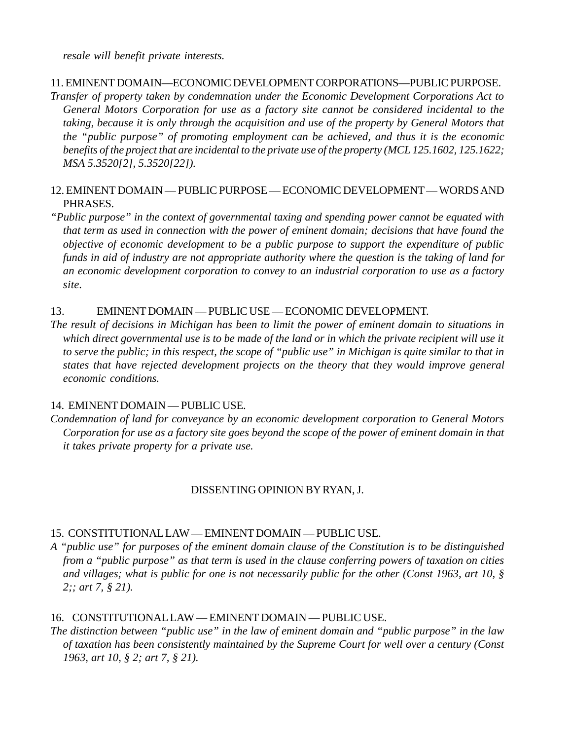*resale will benefit private interests.*

## 11. EMINENT DOMAIN—ECONOMIC DEVELOPMENT CORPORATIONS—PUBLIC PURPOSE.

*Transfer of property taken by condemnation under the Economic Development Corporations Act to General Motors Corporation for use as a factory site cannot be considered incidental to the taking, because it is only through the acquisition and use of the property by General Motors that the "public purpose" of promoting employment can be achieved, and thus it is the economic benefits of the project that are incidental to the private use of the property (MCL 125.1602, 125.1622; MSA 5.3520[2], 5.3520[22]).*

## 12. EMINENT DOMAIN — PUBLIC PURPOSE — ECONOMIC DEVELOPMENT — WORDS AND PHRASES.

*"Public purpose" in the context of governmental taxing and spending power cannot be equated with that term as used in connection with the power of eminent domain; decisions that have found the objective of economic development to be a public purpose to support the expenditure of public funds in aid of industry are not appropriate authority where the question is the taking of land for an economic development corporation to convey to an industrial corporation to use as a factory site.*

### 13. EMINENT DOMAIN — PUBLIC USE — ECONOMIC DEVELOPMENT.

*The result of decisions in Michigan has been to limit the power of eminent domain to situations in which direct governmental use is to be made of the land or in which the private recipient will use it to serve the public; in this respect, the scope of "public use" in Michigan is quite similar to that in states that have rejected development projects on the theory that they would improve general economic conditions.*

## 14. EMINENT DOMAIN — PUBLIC USE.

*Condemnation of land for conveyance by an economic development corporation to General Motors Corporation for use as a factory site goes beyond the scope of the power of eminent domain in that it takes private property for a private use.*

## DISSENTING OPINION BY RYAN, J.

## 15. CONSTITUTIONAL LAW — EMINENT DOMAIN — PUBLIC USE.

*A "public use" for purposes of the eminent domain clause of the Constitution is to be distinguished from a "public purpose" as that term is used in the clause conferring powers of taxation on cities and villages; what is public for one is not necessarily public for the other (Const 1963, art 10, § 2;; art 7, § 21).*

## 16. CONSTITUTIONAL LAW — EMINENT DOMAIN — PUBLIC USE.

*The distinction between "public use" in the law of eminent domain and "public purpose" in the law of taxation has been consistently maintained by the Supreme Court for well over a century (Const 1963, art 10, § 2; art 7, § 21).*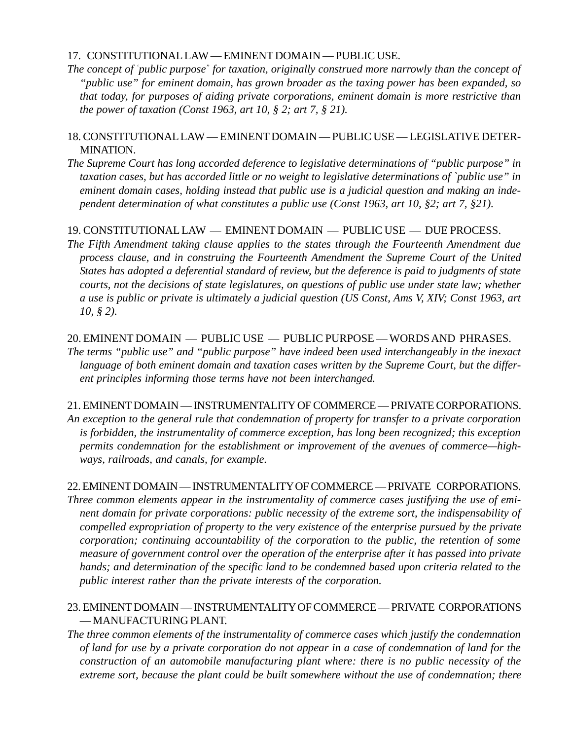## 17. CONSTITUTIONAL LAW — EMINENT DOMAIN — PUBLIC USE.

- *The concept of ' public purpose" for taxation, originally construed more narrowly than the concept of "public use" for eminent domain, has grown broader as the taxing power has been expanded, so that today, for purposes of aiding private corporations, eminent domain is more restrictive than the power of taxation (Const 1963, art 10, § 2; art 7, § 21).*
- 18. CONSTITUTIONAL LAW EMINENT DOMAIN PUBLIC USE LEGISLATIVE DETER-MINATION.
- *The Supreme Court has long accorded deference to legislative determinations of "public purpose" in taxation cases, but has accorded little or no weight to legislative determinations of `public use" in eminent domain cases, holding instead that public use is a judicial question and making an independent determination of what constitutes a public use (Const 1963, art 10, §2; art 7, §21).*

# 19. CONSTITUTIONAL LAW — EMINENT DOMAIN — PUBLIC USE — DUE PROCESS.

*The Fifth Amendment taking clause applies to the states through the Fourteenth Amendment due process clause, and in construing the Fourteenth Amendment the Supreme Court of the United States has adopted a deferential standard of review, but the deference is paid to judgments of state courts, not the decisions of state legislatures, on questions of public use under state law; whether a use is public or private is ultimately a judicial question (US Const, Ams V, XIV; Const 1963, art 10, § 2).*

# 20. EMINENT DOMAIN — PUBLIC USE — PUBLIC PURPOSE — WORDS AND PHRASES.

*The terms "public use" and "public purpose" have indeed been used interchangeably in the inexact language of both eminent domain and taxation cases written by the Supreme Court, but the different principles informing those terms have not been interchanged.*

21. EMINENT DOMAIN — INSTRUMENTALITY OF COMMERCE — PRIVATE CORPORATIONS. *An exception to the general rule that condemnation of property for transfer to a private corporation is forbidden, the instrumentality of commerce exception, has long been recognized; this exception permits condemnation for the establishment or improvement of the avenues of commerce—highways, railroads, and canals, for example.*

## 22. EMINENT DOMAIN — INSTRUMENTALITY OF COMMERCE — PRIVATE CORPORATIONS.

*Three common elements appear in the instrumentality of commerce cases justifying the use of eminent domain for private corporations: public necessity of the extreme sort, the indispensability of compelled expropriation of property to the very existence of the enterprise pursued by the private corporation; continuing accountability of the corporation to the public, the retention of some measure of government control over the operation of the enterprise after it has passed into private hands; and determination of the specific land to be condemned based upon criteria related to the public interest rather than the private interests of the corporation.*

## 23. EMINENT DOMAIN — INSTRUMENTALITY OF COMMERCE — PRIVATE CORPORATIONS — MANUFACTURING PLANT.

*The three common elements of the instrumentality of commerce cases which justify the condemnation of land for use by a private corporation do not appear in a case of condemnation of land for the construction of an automobile manufacturing plant where: there is no public necessity of the extreme sort, because the plant could be built somewhere without the use of condemnation; there*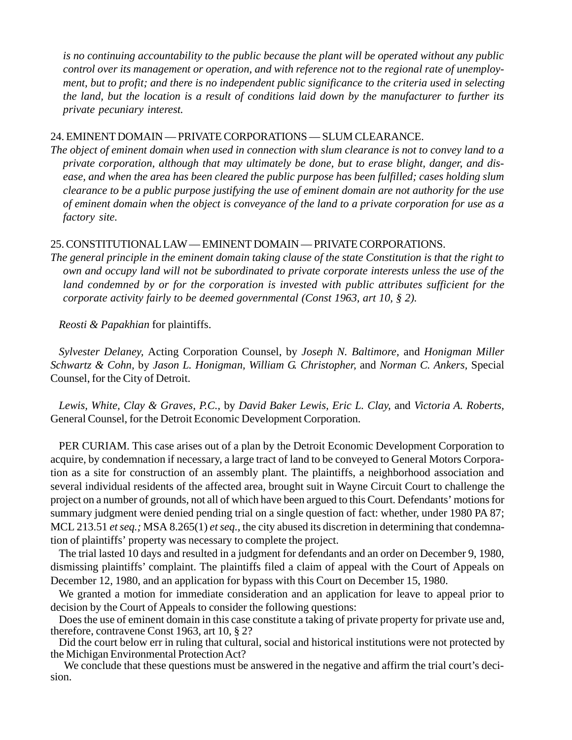*is no continuing accountability to the public because the plant will be operated without any public control over its management or operation, and with reference not to the regional rate of unemployment, but to profit; and there is no independent public significance to the criteria used in selecting the land, but the location is a result of conditions laid down by the manufacturer to further its private pecuniary interest.*

### 24. EMINENT DOMAIN — PRIVATE CORPORATIONS — SLUM CLEARANCE.

*The object of eminent domain when used in connection with slum clearance is not to convey land to a private corporation, although that may ultimately be done, but to erase blight, danger, and disease, and when the area has been cleared the public purpose has been fulfilled; cases holding slum clearance to be a public purpose justifying the use of eminent domain are not authority for the use of eminent domain when the object is conveyance of the land to a private corporation for use as a factory site.*

## 25. CONSTITUTIONAL LAW — EMINENT DOMAIN — PRIVATE CORPORATIONS.

*The general principle in the eminent domain taking clause of the state Constitution is that the right to own and occupy land will not be subordinated to private corporate interests unless the use of the land condemned by or for the corporation is invested with public attributes sufficient for the corporate activity fairly to be deemed governmental (Const 1963, art 10, § 2).*

*Reosti & Papakhian* for plaintiffs.

*Sylvester Delaney,* Acting Corporation Counsel, by *Joseph N. Baltimore,* and *Honigman Miller Schwartz & Cohn,* by *Jason L. Honigman, William G. Christopher,* and *Norman C. Ankers,* Special Counsel, for the City of Detroit.

*Lewis, White, Clay & Graves, P.C.,* by *David Baker Lewis, Eric L. Clay,* and *Victoria A. Roberts,* General Counsel, for the Detroit Economic Development Corporation.

PER CURIAM. This case arises out of a plan by the Detroit Economic Development Corporation to acquire, by condemnation if necessary, a large tract of land to be conveyed to General Motors Corporation as a site for construction of an assembly plant. The plaintiffs, a neighborhood association and several individual residents of the affected area, brought suit in Wayne Circuit Court to challenge the project on a number of grounds, not all of which have been argued to this Court. Defendants' motions for summary judgment were denied pending trial on a single question of fact: whether, under 1980 PA 87; MCL 213.51 *et seq.;* MSA 8.265(1) *et seq.,* the city abused its discretion in determining that condemnation of plaintiffs' property was necessary to complete the project.

The trial lasted 10 days and resulted in a judgment for defendants and an order on December 9, 1980, dismissing plaintiffs' complaint. The plaintiffs filed a claim of appeal with the Court of Appeals on December 12, 1980, and an application for bypass with this Court on December 15, 1980.

We granted a motion for immediate consideration and an application for leave to appeal prior to decision by the Court of Appeals to consider the following questions:

Does the use of eminent domain in this case constitute a taking of private property for private use and, therefore, contravene Const 1963, art 10, § 2?

Did the court below err in ruling that cultural, social and historical institutions were not protected by the Michigan Environmental Protection Act?

We conclude that these questions must be answered in the negative and affirm the trial court's deci-sion.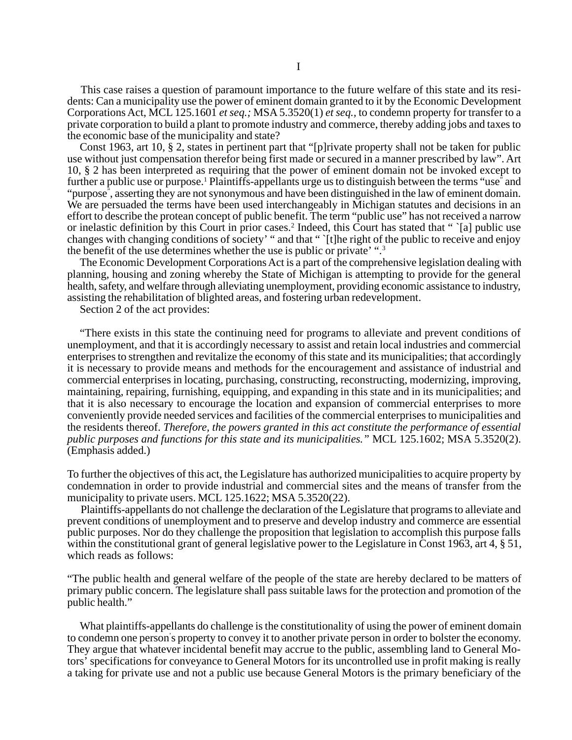This case raises a question of paramount importance to the future welfare of this state and its residents: Can a municipality use the power of eminent domain granted to it by the Economic Development Corporations Act, MCL 125.1601 *et seq.;* MSA 5.3520(1) *et seq.,* to condemn property for transfer to a private corporation to build a plant to promote industry and commerce, thereby adding jobs and taxes to the economic base of the municipality and state?

Const 1963, art 10, § 2, states in pertinent part that "[p]rivate property shall not be taken for public use without just compensation therefor being first made or secured in a manner prescribed by law". Art 10, § 2 has been interpreted as requiring that the power of eminent domain not be invoked except to further a public use or purpose.<sup>1</sup> Plaintiffs-appellants urge us to distinguish between the terms "use" and "purpose" , asserting they are not synonymous and have been distinguished in the law of eminent domain. We are persuaded the terms have been used interchangeably in Michigan statutes and decisions in an effort to describe the protean concept of public benefit. The term "public use" has not received a narrow or inelastic definition by this Court in prior cases.<sup>2</sup> Indeed, this Court has stated that " `[a] public use changes with changing conditions of society' " and that " `[t]he right of the public to receive and enjoy the benefit of the use determines whether the use is public or private' ".3

The Economic Development Corporations Act is a part of the comprehensive legislation dealing with planning, housing and zoning whereby the State of Michigan is attempting to provide for the general health, safety, and welfare through alleviating unemployment, providing economic assistance to industry, assisting the rehabilitation of blighted areas, and fostering urban redevelopment.

Section 2 of the act provides:

"There exists in this state the continuing need for programs to alleviate and prevent conditions of unemployment, and that it is accordingly necessary to assist and retain local industries and commercial enterprises to strengthen and revitalize the economy of this state and its municipalities; that accordingly it is necessary to provide means and methods for the encouragement and assistance of industrial and commercial enterprises in locating, purchasing, constructing, reconstructing, modernizing, improving, maintaining, repairing, furnishing, equipping, and expanding in this state and in its municipalities; and that it is also necessary to encourage the location and expansion of commercial enterprises to more conveniently provide needed services and facilities of the commercial enterprises to municipalities and the residents thereof. *Therefore, the powers granted in this act constitute the performance of essential public purposes and functions for this state and its municipalities."* MCL 125.1602; MSA 5.3520(2). (Emphasis added.)

To further the objectives of this act, the Legislature has authorized municipalities to acquire property by condemnation in order to provide industrial and commercial sites and the means of transfer from the municipality to private users. MCL 125.1622; MSA 5.3520(22).

Plaintiffs-appellants do not challenge the declaration of the Legislature that programs to alleviate and prevent conditions of unemployment and to preserve and develop industry and commerce are essential public purposes. Nor do they challenge the proposition that legislation to accomplish this purpose falls within the constitutional grant of general legislative power to the Legislature in Const 1963, art 4, § 51, which reads as follows:

"The public health and general welfare of the people of the state are hereby declared to be matters of primary public concern. The legislature shall pass suitable laws for the protection and promotion of the public health."

What plaintiffs-appellants do challenge is the constitutionality of using the power of eminent domain to condemn one person' s property to convey it to another private person in order to bolster the economy. They argue that whatever incidental benefit may accrue to the public, assembling land to General Motors' specifications for conveyance to General Motors for its uncontrolled use in profit making is really a taking for private use and not a public use because General Motors is the primary beneficiary of the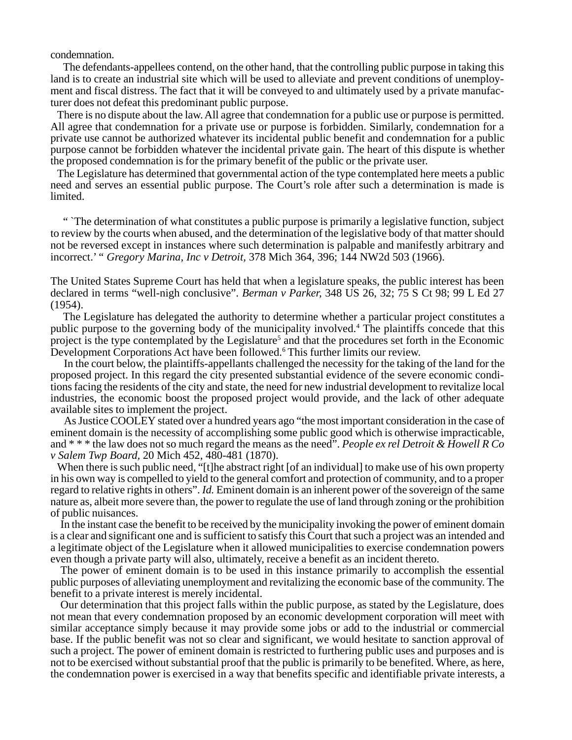condemnation.

The defendants-appellees contend, on the other hand, that the controlling public purpose in taking this land is to create an industrial site which will be used to alleviate and prevent conditions of unemployment and fiscal distress. The fact that it will be conveyed to and ultimately used by a private manufacturer does not defeat this predominant public purpose.

There is no dispute about the law. All agree that condemnation for a public use or purpose is permitted. All agree that condemnation for a private use or purpose is forbidden. Similarly, condemnation for a private use cannot be authorized whatever its incidental public benefit and condemnation for a public purpose cannot be forbidden whatever the incidental private gain. The heart of this dispute is whether the proposed condemnation is for the primary benefit of the public or the private user.

The Legislature has determined that governmental action of the type contemplated here meets a public need and serves an essential public purpose. The Court's role after such a determination is made is limited.

" The determination of what constitutes a public purpose is primarily a legislative function, subject to review by the courts when abused, and the determination of the legislative body of that matter should not be reversed except in instances where such determination is palpable and manifestly arbitrary and incorrect.' " *Gregory Marina, Inc v Detroit,* 378 Mich 364, 396; 144 NW2d 503 (1966).

The United States Supreme Court has held that when a legislature speaks, the public interest has been declared in terms "well-nigh conclusive". *Berman v Parker,* 348 US 26, 32; 75 S Ct 98; 99 L Ed 27 (1954).

The Legislature has delegated the authority to determine whether a particular project constitutes a public purpose to the governing body of the municipality involved.<sup>4</sup> The plaintiffs concede that this project is the type contemplated by the Legislature<sup>5</sup> and that the procedures set forth in the Economic Development Corporations Act have been followed.6 This further limits our review.

In the court below, the plaintiffs-appellants challenged the necessity for the taking of the land for the proposed project. In this regard the city presented substantial evidence of the severe economic conditions facing the residents of the city and state, the need for new industrial development to revitalize local industries, the economic boost the proposed project would provide, and the lack of other adequate available sites to implement the project.

As Justice COOLEY stated over a hundred years ago "the most important consideration in the case of eminent domain is the necessity of accomplishing some public good which is otherwise impracticable, and \* \* \* the law does not so much regard the means as the need". *People ex rel Detroit & Howell R Co v Salem Twp Board,* 20 Mich 452, 480-481 (1870).

When there is such public need, "[t]he abstract right [of an individual] to make use of his own property in his own way is compelled to yield to the general comfort and protection of community, and to a proper regard to relative rights in others". *Id.* Eminent domain is an inherent power of the sovereign of the same nature as, albeit more severe than, the power to regulate the use of land through zoning or the prohibition of public nuisances.

In the instant case the benefit to be received by the municipality invoking the power of eminent domain is a clear and significant one and is sufficient to satisfy this Court that such a project was an intended and a legitimate object of the Legislature when it allowed municipalities to exercise condemnation powers even though a private party will also, ultimately, receive a benefit as an incident thereto.

The power of eminent domain is to be used in this instance primarily to accomplish the essential public purposes of alleviating unemployment and revitalizing the economic base of the community. The benefit to a private interest is merely incidental.

Our determination that this project falls within the public purpose, as stated by the Legislature, does not mean that every condemnation proposed by an economic development corporation will meet with similar acceptance simply because it may provide some jobs or add to the industrial or commercial base. If the public benefit was not so clear and significant, we would hesitate to sanction approval of such a project. The power of eminent domain is restricted to furthering public uses and purposes and is not to be exercised without substantial proof that the public is primarily to be benefited. Where, as here, the condemnation power is exercised in a way that benefits specific and identifiable private interests, a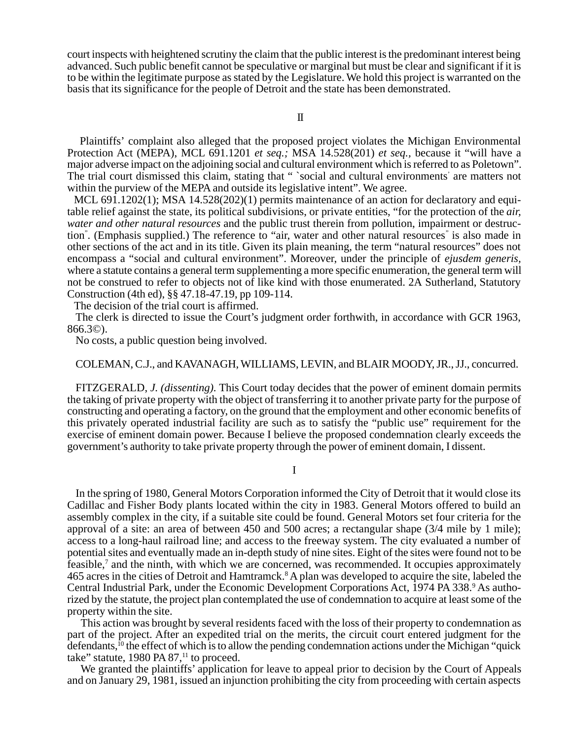court inspects with heightened scrutiny the claim that the public interest is the predominant interest being advanced. Such public benefit cannot be speculative or marginal but must be clear and significant if it is to be within the legitimate purpose as stated by the Legislature. We hold this project is warranted on the basis that its significance for the people of Detroit and the state has been demonstrated.

II

Plaintiffs' complaint also alleged that the proposed project violates the Michigan Environmental Protection Act (MEPA), MCL 691.1201 *et seq.;* MSA 14.528(201) *et seq.,* because it "will have a major adverse impact on the adjoining social and cultural environment which is referred to as Poletown". The trial court dismissed this claim, stating that " 'social and cultural environments' are matters not within the purview of the MEPA and outside its legislative intent". We agree.

MCL 691.1202(1); MSA 14.528(202)(1) permits maintenance of an action for declaratory and equitable relief against the state, its political subdivisions, or private entities, "for the protection of the *air, water and other natural resources* and the public trust therein from pollution, impairment or destruction" . (Emphasis supplied.) The reference to "air, water and other natural resources" is also made in other sections of the act and in its title. Given its plain meaning, the term "natural resources" does not encompass a "social and cultural environment". Moreover, under the principle of *ejusdem generis,* where a statute contains a general term supplementing a more specific enumeration, the general term will not be construed to refer to objects not of like kind with those enumerated. 2A Sutherland, Statutory Construction (4th ed), §§ 47.18-47.19, pp 109-114.

The decision of the trial court is affirmed.

The clerk is directed to issue the Court's judgment order forthwith, in accordance with GCR 1963, 866.3©).

No costs, a public question being involved.

#### COLEMAN, C.J., and KAVANAGH, WILLIAMS, LEVIN, and BLAIR MOODY, JR., JJ., concurred.

FITZGERALD, *J. (dissenting).* This Court today decides that the power of eminent domain permits the taking of private property with the object of transferring it to another private party for the purpose of constructing and operating a factory, on the ground that the employment and other economic benefits of this privately operated industrial facility are such as to satisfy the "public use" requirement for the exercise of eminent domain power. Because I believe the proposed condemnation clearly exceeds the government's authority to take private property through the power of eminent domain, I dissent.

I

In the spring of 1980, General Motors Corporation informed the City of Detroit that it would close its Cadillac and Fisher Body plants located within the city in 1983. General Motors offered to build an assembly complex in the city, if a suitable site could be found. General Motors set four criteria for the approval of a site: an area of between 450 and 500 acres; a rectangular shape (3/4 mile by 1 mile); access to a long-haul railroad line; and access to the freeway system. The city evaluated a number of potential sites and eventually made an in-depth study of nine sites. Eight of the sites were found not to be feasible,<sup>7</sup> and the ninth, with which we are concerned, was recommended. It occupies approximately 465 acres in the cities of Detroit and Hamtramck.<sup>8</sup> A plan was developed to acquire the site, labeled the Central Industrial Park, under the Economic Development Corporations Act, 1974 PA 338.9 As authorized by the statute, the project plan contemplated the use of condemnation to acquire at least some of the property within the site.

This action was brought by several residents faced with the loss of their property to condemnation as part of the project. After an expedited trial on the merits, the circuit court entered judgment for the defendants,<sup>10</sup> the effect of which is to allow the pending condemnation actions under the Michigan "quick" take" statute,  $1980$  PA  $87$ ,<sup>11</sup> to proceed.

We granted the plaintiffs' application for leave to appeal prior to decision by the Court of Appeals and on January 29, 1981, issued an injunction prohibiting the city from proceeding with certain aspects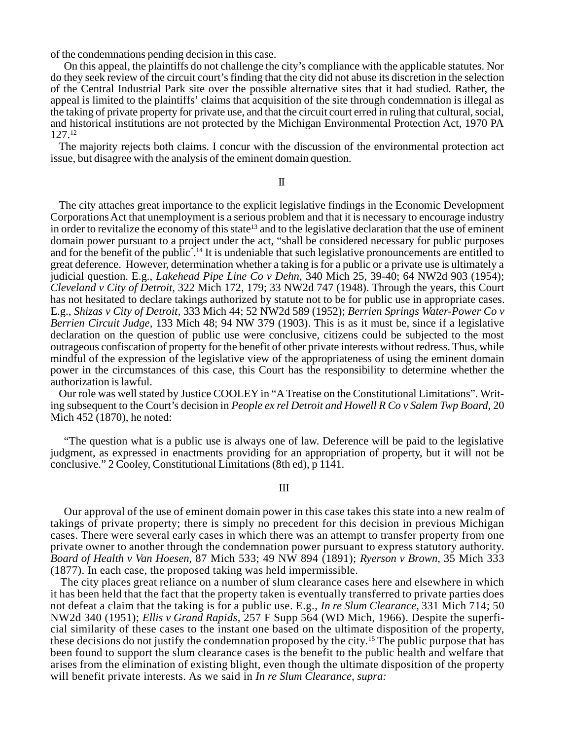of the condemnations pending decision in this case.

On this appeal, the plaintiffs do not challenge the city's compliance with the applicable statutes. Nor do they seek review of the circuit court's finding that the city did not abuse its discretion in the selection of the Central Industrial Park site over the possible alternative sites that it had studied. Rather, the appeal is limited to the plaintiffs' claims that acquisition of the site through condemnation is illegal as the taking of private property for private use, and that the circuit court erred in ruling that cultural, social, and historical institutions are not protected by the Michigan Environmental Protection Act, 1970 PA 127.12

The majority rejects both claims. I concur with the discussion of the environmental protection act issue, but disagree with the analysis of the eminent domain question.

II

The city attaches great importance to the explicit legislative findings in the Economic Development Corporations Act that unemployment is a serious problem and that it is necessary to encourage industry in order to revitalize the economy of this state<sup>13</sup> and to the legislative declaration that the use of eminent domain power pursuant to a project under the act, "shall be considered necessary for public purposes and for the benefit of the public<sup>"</sup>.<sup>14</sup> It is undeniable that such legislative pronouncements are entitled to great deference. However, determination whether a taking is for a public or a private use is ultimately a judicial question. E.g., *Lakehead Pipe Line Co v Dehn,* 340 Mich 25, 39-40; 64 NW2d 903 (1954); *Cleveland v City of Detroit,* 322 Mich 172, 179; 33 NW2d 747 (1948). Through the years, this Court has not hesitated to declare takings authorized by statute not to be for public use in appropriate cases. E.g., *Shizas v City of Detroit,* 333 Mich 44; 52 NW2d 589 (1952); *Berrien Springs Water-Power Co v Berrien Circuit Judge,* 133 Mich 48; 94 NW 379 (1903). This is as it must be, since if a legislative declaration on the question of public use were conclusive, citizens could be subjected to the most outrageous confiscation of property for the benefit of other private interests without redress. Thus, while mindful of the expression of the legislative view of the appropriateness of using the eminent domain power in the circumstances of this case, this Court has the responsibility to determine whether the authorization is lawful.

Our role was well stated by Justice COOLEY in "A Treatise on the Constitutional Limitations". Writing subsequent to the Court's decision in *People ex rel Detroit and Howell R Co v Salem Twp Board,* 20 Mich 452 (1870), he noted:

"The question what is a public use is always one of law. Deference will be paid to the legislative judgment, as expressed in enactments providing for an appropriation of property, but it will not be conclusive." 2 Cooley, Constitutional Limitations (8th ed), p 1141.

#### III

Our approval of the use of eminent domain power in this case takes this state into a new realm of takings of private property; there is simply no precedent for this decision in previous Michigan cases. There were several early cases in which there was an attempt to transfer property from one private owner to another through the condemnation power pursuant to express statutory authority. *Board of Health v Van Hoesen,* 87 Mich 533; 49 NW 894 (1891); *Ryerson v Brown,* 35 Mich 333 (1877). In each case, the proposed taking was held impermissible.

The city places great reliance on a number of slum clearance cases here and elsewhere in which it has been held that the fact that the property taken is eventually transferred to private parties does not defeat a claim that the taking is for a public use. E.g., *In re Slum Clearance,* 331 Mich 714; 50 NW2d 340 (1951); *Ellis v Grand Rapids,* 257 F Supp 564 (WD Mich, 1966). Despite the superficial similarity of these cases to the instant one based on the ultimate disposition of the property, these decisions do not justify the condemnation proposed by the city.<sup>15</sup> The public purpose that has been found to support the slum clearance cases is the benefit to the public health and welfare that arises from the elimination of existing blight, even though the ultimate disposition of the property will benefit private interests. As we said in *In re Slum Clearance, supra:*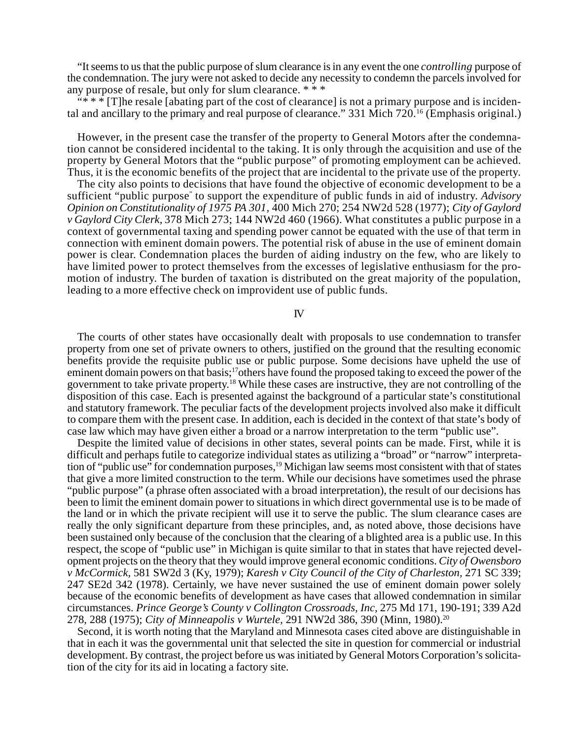"It seems to us that the public purpose of slum clearance is in any event the one *controlling* purpose of the condemnation. The jury were not asked to decide any necessity to condemn the parcels involved for any purpose of resale, but only for slum clearance. \* \* \*

"\* \* \* [T]he resale [abating part of the cost of clearance] is not a primary purpose and is incidental and ancillary to the primary and real purpose of clearance." 331 Mich 720.16 (Emphasis original.)

However, in the present case the transfer of the property to General Motors after the condemnation cannot be considered incidental to the taking. It is only through the acquisition and use of the property by General Motors that the "public purpose" of promoting employment can be achieved. Thus, it is the economic benefits of the project that are incidental to the private use of the property.

The city also points to decisions that have found the objective of economic development to be a sufficient "public purpose" to support the expenditure of public funds in aid of industry. *Advisory Opinion on Constitutionality of 1975 PA 301,* 400 Mich 270; 254 NW2d 528 (1977); *City of Gaylord v Gaylord City Clerk,* 378 Mich 273; 144 NW2d 460 (1966). What constitutes a public purpose in a context of governmental taxing and spending power cannot be equated with the use of that term in connection with eminent domain powers. The potential risk of abuse in the use of eminent domain power is clear. Condemnation places the burden of aiding industry on the few, who are likely to have limited power to protect themselves from the excesses of legislative enthusiasm for the promotion of industry. The burden of taxation is distributed on the great majority of the population, leading to a more effective check on improvident use of public funds.

IV

The courts of other states have occasionally dealt with proposals to use condemnation to transfer property from one set of private owners to others, justified on the ground that the resulting economic benefits provide the requisite public use or public purpose. Some decisions have upheld the use of eminent domain powers on that basis;<sup>17</sup>others have found the proposed taking to exceed the power of the government to take private property.18 While these cases are instructive, they are not controlling of the disposition of this case. Each is presented against the background of a particular state's constitutional and statutory framework. The peculiar facts of the development projects involved also make it difficult to compare them with the present case. In addition, each is decided in the context of that state's body of case law which may have given either a broad or a narrow interpretation to the term "public use".

Despite the limited value of decisions in other states, several points can be made. First, while it is difficult and perhaps futile to categorize individual states as utilizing a "broad" or "narrow" interpretation of "public use" for condemnation purposes,<sup>19</sup> Michigan law seems most consistent with that of states that give a more limited construction to the term. While our decisions have sometimes used the phrase "public purpose" (a phrase often associated with a broad interpretation), the result of our decisions has been to limit the eminent domain power to situations in which direct governmental use is to be made of the land or in which the private recipient will use it to serve the public. The slum clearance cases are really the only significant departure from these principles, and, as noted above, those decisions have been sustained only because of the conclusion that the clearing of a blighted area is a public use. In this respect, the scope of "public use" in Michigan is quite similar to that in states that have rejected development projects on the theory that they would improve general economic conditions. *City of Owensboro v McCormick,* 581 SW2d 3 (Ky, 1979); *Karesh v City Council of the City of Charleston,* 271 SC 339; 247 SE2d 342 (1978). Certainly, we have never sustained the use of eminent domain power solely because of the economic benefits of development as have cases that allowed condemnation in similar circumstances. *Prince George's County v Collington Crossroads, Inc,* 275 Md 171, 190-191; 339 A2d 278, 288 (1975); *City of Minneapolis v Wurtele,* 291 NW2d 386, 390 (Minn, 1980).20

Second, it is worth noting that the Maryland and Minnesota cases cited above are distinguishable in that in each it was the governmental unit that selected the site in question for commercial or industrial development. By contrast, the project before us was initiated by General Motors Corporation's solicitation of the city for its aid in locating a factory site.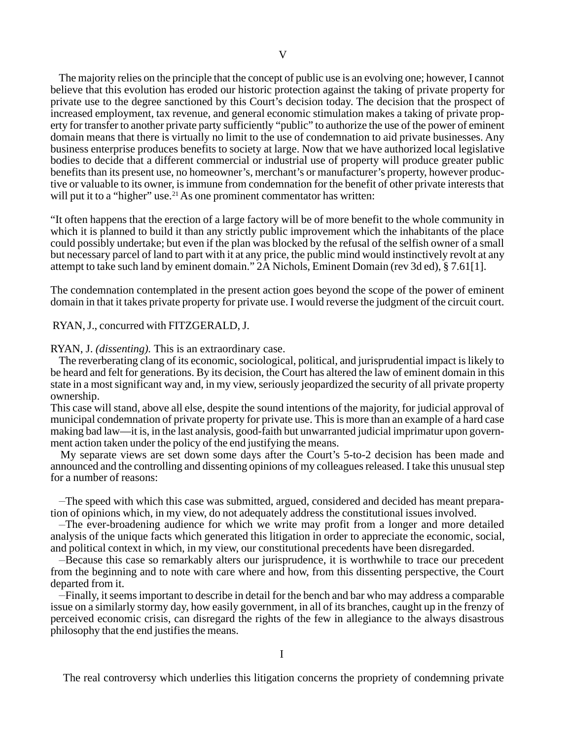The majority relies on the principle that the concept of public use is an evolving one; however, I cannot believe that this evolution has eroded our historic protection against the taking of private property for private use to the degree sanctioned by this Court's decision today. The decision that the prospect of increased employment, tax revenue, and general economic stimulation makes a taking of private property for transfer to another private party sufficiently "public" to authorize the use of the power of eminent domain means that there is virtually no limit to the use of condemnation to aid private businesses. Any business enterprise produces benefits to society at large. Now that we have authorized local legislative bodies to decide that a different commercial or industrial use of property will produce greater public benefits than its present use, no homeowner's, merchant's or manufacturer's property, however productive or valuable to its owner, is immune from condemnation for the benefit of other private interests that will put it to a "higher" use.<sup>21</sup> As one prominent commentator has written:

"It often happens that the erection of a large factory will be of more benefit to the whole community in which it is planned to build it than any strictly public improvement which the inhabitants of the place could possibly undertake; but even if the plan was blocked by the refusal of the selfish owner of a small but necessary parcel of land to part with it at any price, the public mind would instinctively revolt at any attempt to take such land by eminent domain." 2A Nichols, Eminent Domain (rev 3d ed), § 7.61[1].

The condemnation contemplated in the present action goes beyond the scope of the power of eminent domain in that it takes private property for private use. I would reverse the judgment of the circuit court.

#### RYAN, J., concurred with FITZGERALD, J.

RYAN, J. *(dissenting).* This is an extraordinary case.

The reverberating clang of its economic, sociological, political, and jurisprudential impact is likely to be heard and felt for generations. By its decision, the Court has altered the law of eminent domain in this state in a most significant way and, in my view, seriously jeopardized the security of all private property ownership.

This case will stand, above all else, despite the sound intentions of the majority, for judicial approval of municipal condemnation of private property for private use. This is more than an example of a hard case making bad law—it is, in the last analysis, good-faith but unwarranted judicial imprimatur upon government action taken under the policy of the end justifying the means.

My separate views are set down some days after the Court's 5-to-2 decision has been made and announced and the controlling and dissenting opinions of my colleagues released. I take this unusual step for a number of reasons:

\_\_The speed with which this case was submitted, argued, considered and decided has meant preparation of opinions which, in my view, do not adequately address the constitutional issues involved.

-The ever-broadening audience for which we write may profit from a longer and more detailed analysis of the unique facts which generated this litigation in order to appreciate the economic, social, and political context in which, in my view, our constitutional precedents have been disregarded.

-Because this case so remarkably alters our jurisprudence, it is worthwhile to trace our precedent from the beginning and to note with care where and how, from this dissenting perspective, the Court departed from it.

\_\_Finally, it seems important to describe in detail for the bench and bar who may address a comparable issue on a similarly stormy day, how easily government, in all of its branches, caught up in the frenzy of perceived economic crisis, can disregard the rights of the few in allegiance to the always disastrous philosophy that the end justifies the means.

The real controversy which underlies this litigation concerns the propriety of condemning private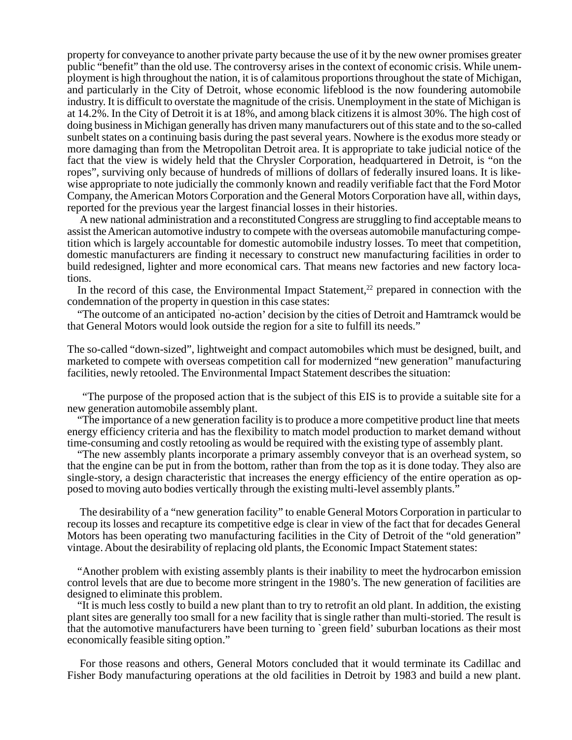property for conveyance to another private party because the use of it by the new owner promises greater public "benefit" than the old use. The controversy arises in the context of economic crisis. While unemployment is high throughout the nation, it is of calamitous proportions throughout the state of Michigan, and particularly in the City of Detroit, whose economic lifeblood is the now foundering automobile industry. It is difficult to overstate the magnitude of the crisis. Unemployment in the state of Michigan is at 14.2%. In the City of Detroit it is at 18%, and among black citizens it is almost 30%. The high cost of doing business in Michigan generally has driven many manufacturers out of this state and to the so-called sunbelt states on a continuing basis during the past several years. Nowhere is the exodus more steady or more damaging than from the Metropolitan Detroit area. It is appropriate to take judicial notice of the fact that the view is widely held that the Chrysler Corporation, headquartered in Detroit, is "on the ropes", surviving only because of hundreds of millions of dollars of federally insured loans. It is likewise appropriate to note judicially the commonly known and readily verifiable fact that the Ford Motor Company, the American Motors Corporation and the General Motors Corporation have all, within days, reported for the previous year the largest financial losses in their histories.

A new national administration and a reconstituted Congress are struggling to find acceptable means to assist the American automotive industry to compete with the overseas automobile manufacturing competition which is largely accountable for domestic automobile industry losses. To meet that competition, domestic manufacturers are finding it necessary to construct new manufacturing facilities in order to build redesigned, lighter and more economical cars. That means new factories and new factory locations.

In the record of this case, the Environmental Impact Statement, $^{22}$  prepared in connection with the condemnation of the property in question in this case states:

"The outcome of an anticipated ` no-action' decision by the cities of Detroit and Hamtramck would be that General Motors would look outside the region for a site to fulfill its needs."

The so-called "down-sized", lightweight and compact automobiles which must be designed, built, and marketed to compete with overseas competition call for modernized "new generation" manufacturing facilities, newly retooled. The Environmental Impact Statement describes the situation:

 "The purpose of the proposed action that is the subject of this EIS is to provide a suitable site for a new generation automobile assembly plant.

"The importance of a new generation facility is to produce a more competitive product line that meets energy efficiency criteria and has the flexibility to match model production to market demand without time-consuming and costly retooling as would be required with the existing type of assembly plant.

"The new assembly plants incorporate a primary assembly conveyor that is an overhead system, so that the engine can be put in from the bottom, rather than from the top as it is done today. They also are single-story, a design characteristic that increases the energy efficiency of the entire operation as opposed to moving auto bodies vertically through the existing multi-level assembly plants."

The desirability of a "new generation facility" to enable General Motors Corporation in particular to recoup its losses and recapture its competitive edge is clear in view of the fact that for decades General Motors has been operating two manufacturing facilities in the City of Detroit of the "old generation" vintage. About the desirability of replacing old plants, the Economic Impact Statement states:

"Another problem with existing assembly plants is their inability to meet the hydrocarbon emission control levels that are due to become more stringent in the 1980's. The new generation of facilities are designed to eliminate this problem.

"It is much less costly to build a new plant than to try to retrofit an old plant. In addition, the existing plant sites are generally too small for a new facility that is single rather than multi-storied. The result is that the automotive manufacturers have been turning to `green field' suburban locations as their most economically feasible siting option."

For those reasons and others, General Motors concluded that it would terminate its Cadillac and Fisher Body manufacturing operations at the old facilities in Detroit by 1983 and build a new plant.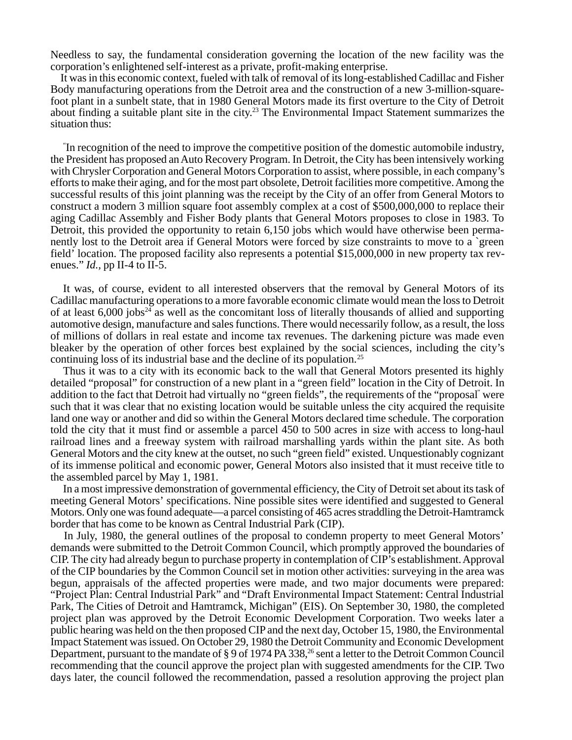Needless to say, the fundamental consideration governing the location of the new facility was the corporation's enlightened self-interest as a private, profit-making enterprise.

It was in this economic context, fueled with talk of removal of its long-established Cadillac and Fisher Body manufacturing operations from the Detroit area and the construction of a new 3-million-squarefoot plant in a sunbelt state, that in 1980 General Motors made its first overture to the City of Detroit about finding a suitable plant site in the city.<sup>23</sup> The Environmental Impact Statement summarizes the situation thus:

" In recognition of the need to improve the competitive position of the domestic automobile industry, the President has proposed an Auto Recovery Program. In Detroit, the City has been intensively working with Chrysler Corporation and General Motors Corporation to assist, where possible, in each company's efforts to make their aging, and for the most part obsolete, Detroit facilities more competitive. Among the successful results of this joint planning was the receipt by the City of an offer from General Motors to construct a modern 3 million square foot assembly complex at a cost of \$500,000,000 to replace their aging Cadillac Assembly and Fisher Body plants that General Motors proposes to close in 1983. To Detroit, this provided the opportunity to retain 6,150 jobs which would have otherwise been permanently lost to the Detroit area if General Motors were forced by size constraints to move to a `green field' location. The proposed facility also represents a potential \$15,000,000 in new property tax revenues." *Id.,* pp II-4 to II-5.

It was, of course, evident to all interested observers that the removal by General Motors of its Cadillac manufacturing operations to a more favorable economic climate would mean the loss to Detroit of at least  $6,000$  jobs<sup>24</sup> as well as the concomitant loss of literally thousands of allied and supporting automotive design, manufacture and sales functions. There would necessarily follow, as a result, the loss of millions of dollars in real estate and income tax revenues. The darkening picture was made even bleaker by the operation of other forces best explained by the social sciences, including the city's continuing loss of its industrial base and the decline of its population.25

Thus it was to a city with its economic back to the wall that General Motors presented its highly detailed "proposal" for construction of a new plant in a "green field" location in the City of Detroit. In addition to the fact that Detroit had virtually no "green fields", the requirements of the "proposal" were such that it was clear that no existing location would be suitable unless the city acquired the requisite land one way or another and did so within the General Motors declared time schedule. The corporation told the city that it must find or assemble a parcel 450 to 500 acres in size with access to long-haul railroad lines and a freeway system with railroad marshalling yards within the plant site. As both General Motors and the city knew at the outset, no such "green field" existed. Unquestionably cognizant of its immense political and economic power, General Motors also insisted that it must receive title to the assembled parcel by May 1, 1981.

In a most impressive demonstration of governmental efficiency, the City of Detroit set about its task of meeting General Motors' specifications. Nine possible sites were identified and suggested to General Motors. Only one was found adequate—a parcel consisting of 465 acres straddling the Detroit-Hamtramck border that has come to be known as Central Industrial Park (CIP).

In July, 1980, the general outlines of the proposal to condemn property to meet General Motors' demands were submitted to the Detroit Common Council, which promptly approved the boundaries of CIP. The city had already begun to purchase property in contemplation of CIP's establishment. Approval of the CIP boundaries by the Common Council set in motion other activities: surveying in the area was begun, appraisals of the affected properties were made, and two major documents were prepared: "Project Plan: Central Industrial Park" and "Draft Environmental Impact Statement: Central Industrial Park, The Cities of Detroit and Hamtramck, Michigan" (EIS). On September 30, 1980, the completed project plan was approved by the Detroit Economic Development Corporation. Two weeks later a public hearing was held on the then proposed CIP and the next day, October 15, 1980, the Environmental Impact Statement was issued. On October 29, 1980 the Detroit Community and Economic Development Department, pursuant to the mandate of § 9 of 1974 PA 338,<sup>26</sup> sent a letter to the Detroit Common Council recommending that the council approve the project plan with suggested amendments for the CIP. Two days later, the council followed the recommendation, passed a resolution approving the project plan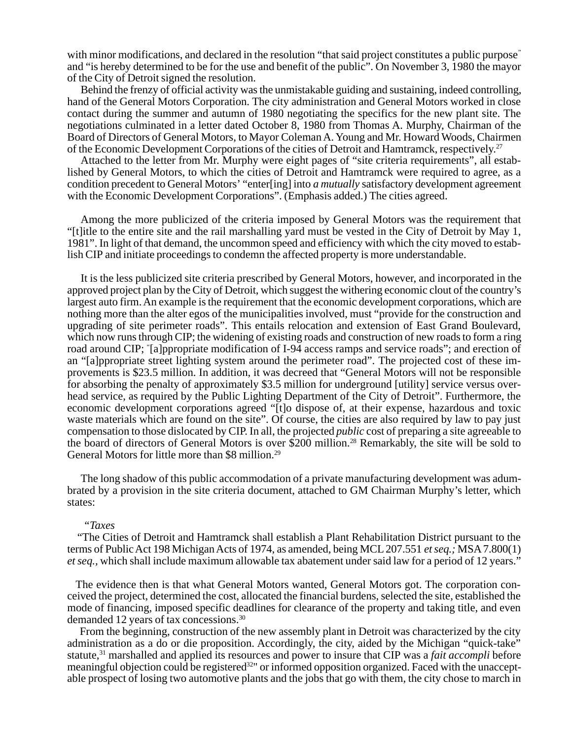with minor modifications, and declared in the resolution "that said project constitutes a public purpose" and "is hereby determined to be for the use and benefit of the public". On November 3, 1980 the mayor of the City of Detroit signed the resolution.

Behind the frenzy of official activity was the unmistakable guiding and sustaining, indeed controlling, hand of the General Motors Corporation. The city administration and General Motors worked in close contact during the summer and autumn of 1980 negotiating the specifics for the new plant site. The negotiations culminated in a letter dated October 8, 1980 from Thomas A. Murphy, Chairman of the Board of Directors of General Motors, to Mayor Coleman A. Young and Mr. Howard Woods, Chairmen of the Economic Development Corporations of the cities of Detroit and Hamtramck, respectively.27

Attached to the letter from Mr. Murphy were eight pages of "site criteria requirements", all established by General Motors, to which the cities of Detroit and Hamtramck were required to agree, as a condition precedent to General Motors' "enter[ing] into *a mutually* satisfactory development agreement with the Economic Development Corporations". (Emphasis added.) The cities agreed.

Among the more publicized of the criteria imposed by General Motors was the requirement that "[t]itle to the entire site and the rail marshalling yard must be vested in the City of Detroit by May 1, 1981". In light of that demand, the uncommon speed and efficiency with which the city moved to establish CIP and initiate proceedings to condemn the affected property is more understandable.

It is the less publicized site criteria prescribed by General Motors, however, and incorporated in the approved project plan by the City of Detroit, which suggest the withering economic clout of the country's largest auto firm. An example is the requirement that the economic development corporations, which are nothing more than the alter egos of the municipalities involved, must "provide for the construction and upgrading of site perimeter roads". This entails relocation and extension of East Grand Boulevard, which now runs through CIP; the widening of existing roads and construction of new roads to form a ring road around CIP; " [a]ppropriate modification of I-94 access ramps and service roads"; and erection of an "[a]ppropriate street lighting system around the perimeter road". The projected cost of these improvements is \$23.5 million. In addition, it was decreed that "General Motors will not be responsible for absorbing the penalty of approximately \$3.5 million for underground [utility] service versus overhead service, as required by the Public Lighting Department of the City of Detroit". Furthermore, the economic development corporations agreed "[t]o dispose of, at their expense, hazardous and toxic waste materials which are found on the site". Of course, the cities are also required by law to pay just compensation to those dislocated by CIP. In all, the projected *public* cost of preparing a site agreeable to the board of directors of General Motors is over \$200 million.28 Remarkably, the site will be sold to General Motors for little more than \$8 million.<sup>29</sup>

The long shadow of this public accommodation of a private manufacturing development was adumbrated by a provision in the site criteria document, attached to GM Chairman Murphy's letter, which states:

### *"Taxes*

"The Cities of Detroit and Hamtramck shall establish a Plant Rehabilitation District pursuant to the terms of Public Act 198 Michigan Acts of 1974, as amended, being MCL 207.551 *et seq.;* MSA 7.800(1) *et seq.,* which shall include maximum allowable tax abatement under said law for a period of 12 years."

The evidence then is that what General Motors wanted, General Motors got. The corporation conceived the project, determined the cost, allocated the financial burdens, selected the site, established the mode of financing, imposed specific deadlines for clearance of the property and taking title, and even demanded 12 years of tax concessions.30

From the beginning, construction of the new assembly plant in Detroit was characterized by the city administration as a do or die proposition. Accordingly, the city, aided by the Michigan "quick-take" statute,31 marshalled and applied its resources and power to insure that CIP was a *fait accompli* before meaningful objection could be registered<sup>32</sup>" or informed opposition organized. Faced with the unacceptable prospect of losing two automotive plants and the jobs that go with them, the city chose to march in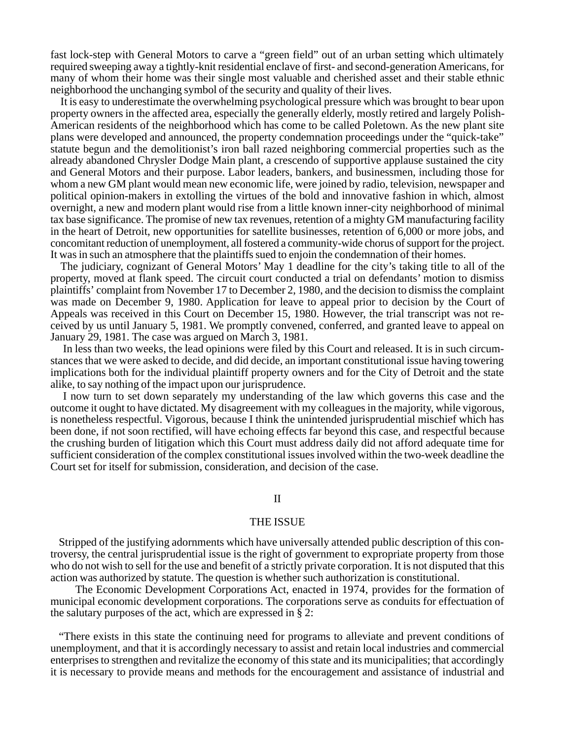fast lock-step with General Motors to carve a "green field" out of an urban setting which ultimately required sweeping away a tightly-knit residential enclave of first- and second-generation Americans, for many of whom their home was their single most valuable and cherished asset and their stable ethnic neighborhood the unchanging symbol of the security and quality of their lives.

It is easy to underestimate the overwhelming psychological pressure which was brought to bear upon property owners in the affected area, especially the generally elderly, mostly retired and largely Polish-American residents of the neighborhood which has come to be called Poletown. As the new plant site plans were developed and announced, the property condemnation proceedings under the "quick-take" statute begun and the demolitionist's iron ball razed neighboring commercial properties such as the already abandoned Chrysler Dodge Main plant, a crescendo of supportive applause sustained the city and General Motors and their purpose. Labor leaders, bankers, and businessmen, including those for whom a new GM plant would mean new economic life, were joined by radio, television, newspaper and political opinion-makers in extolling the virtues of the bold and innovative fashion in which, almost overnight, a new and modern plant would rise from a little known inner-city neighborhood of minimal tax base significance. The promise of new tax revenues, retention of a mighty GM manufacturing facility in the heart of Detroit, new opportunities for satellite businesses, retention of 6,000 or more jobs, and concomitant reduction of unemployment, all fostered a community-wide chorus of support for the project. It was in such an atmosphere that the plaintiffs sued to enjoin the condemnation of their homes.

The judiciary, cognizant of General Motors' May 1 deadline for the city's taking title to all of the property, moved at flank speed. The circuit court conducted a trial on defendants' motion to dismiss plaintiffs' complaint from November 17 to December 2, 1980, and the decision to dismiss the complaint was made on December 9, 1980. Application for leave to appeal prior to decision by the Court of Appeals was received in this Court on December 15, 1980. However, the trial transcript was not received by us until January 5, 1981. We promptly convened, conferred, and granted leave to appeal on January 29, 1981. The case was argued on March 3, 1981.

In less than two weeks, the lead opinions were filed by this Court and released. It is in such circumstances that we were asked to decide, and did decide, an important constitutional issue having towering implications both for the individual plaintiff property owners and for the City of Detroit and the state alike, to say nothing of the impact upon our jurisprudence.

I now turn to set down separately my understanding of the law which governs this case and the outcome it ought to have dictated. My disagreement with my colleagues in the majority, while vigorous, is nonetheless respectful. Vigorous, because I think the unintended jurisprudential mischief which has been done, if not soon rectified, will have echoing effects far beyond this case, and respectful because the crushing burden of litigation which this Court must address daily did not afford adequate time for sufficient consideration of the complex constitutional issues involved within the two-week deadline the Court set for itself for submission, consideration, and decision of the case.

#### II

#### THE ISSUE

Stripped of the justifying adornments which have universally attended public description of this controversy, the central jurisprudential issue is the right of government to expropriate property from those who do not wish to sell for the use and benefit of a strictly private corporation. It is not disputed that this action was authorized by statute. The question is whether such authorization is constitutional.

 The Economic Development Corporations Act, enacted in 1974, provides for the formation of municipal economic development corporations. The corporations serve as conduits for effectuation of the salutary purposes of the act, which are expressed in § 2:

"There exists in this state the continuing need for programs to alleviate and prevent conditions of unemployment, and that it is accordingly necessary to assist and retain local industries and commercial enterprises to strengthen and revitalize the economy of this state and its municipalities; that accordingly it is necessary to provide means and methods for the encouragement and assistance of industrial and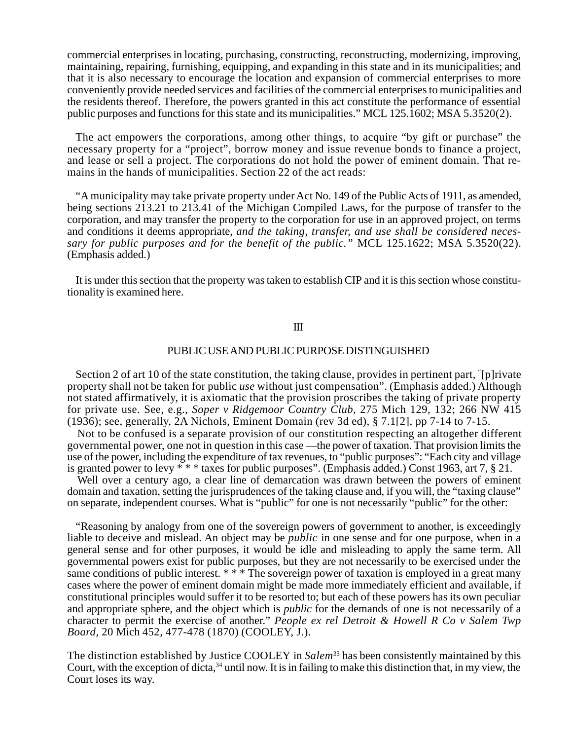commercial enterprises in locating, purchasing, constructing, reconstructing, modernizing, improving, maintaining, repairing, furnishing, equipping, and expanding in this state and in its municipalities; and that it is also necessary to encourage the location and expansion of commercial enterprises to more conveniently provide needed services and facilities of the commercial enterprises to municipalities and the residents thereof. Therefore, the powers granted in this act constitute the performance of essential public purposes and functions for this state and its municipalities." MCL 125.1602; MSA 5.3520(2).

The act empowers the corporations, among other things, to acquire "by gift or purchase" the necessary property for a "project", borrow money and issue revenue bonds to finance a project, and lease or sell a project. The corporations do not hold the power of eminent domain. That remains in the hands of municipalities. Section 22 of the act reads:

"A municipality may take private property under Act No. 149 of the Public Acts of 1911, as amended, being sections 213.21 to 213.41 of the Michigan Compiled Laws, for the purpose of transfer to the corporation, and may transfer the property to the corporation for use in an approved project, on terms and conditions it deems appropriate, *and the taking, transfer, and use shall be considered necessary for public purposes and for the benefit of the public."* MCL 125.1622; MSA 5.3520(22). (Emphasis added.)

It is under this section that the property was taken to establish CIP and it is this section whose constitutionality is examined here.

### III

#### PUBLIC USE AND PUBLIC PURPOSE DISTINGUISHED

Section 2 of art 10 of the state constitution, the taking clause, provides in pertinent part, " [p]rivate property shall not be taken for public *use* without just compensation". (Emphasis added.) Although not stated affirmatively, it is axiomatic that the provision proscribes the taking of private property for private use. See, e.g., *Soper v Ridgemoor Country Club,* 275 Mich 129, 132; 266 NW 415 (1936); see, generally, 2A Nichols, Eminent Domain (rev 3d ed), § 7.1[2], pp 7-14 to 7-15.

Not to be confused is a separate provision of our constitution respecting an altogether different governmental power, one not in question in this case —the power of taxation. That provision limits the use of the power, including the expenditure of tax revenues, to "public purposes": "Each city and village is granted power to levy \* \* \* taxes for public purposes". (Emphasis added.) Const 1963, art 7, § 21.

Well over a century ago, a clear line of demarcation was drawn between the powers of eminent domain and taxation, setting the jurisprudences of the taking clause and, if you will, the "taxing clause" on separate, independent courses. What is "public" for one is not necessarily "public" for the other:

"Reasoning by analogy from one of the sovereign powers of government to another, is exceedingly liable to deceive and mislead. An object may be *public* in one sense and for one purpose, when in a general sense and for other purposes, it would be idle and misleading to apply the same term. All governmental powers exist for public purposes, but they are not necessarily to be exercised under the same conditions of public interest. \* \* \* The sovereign power of taxation is employed in a great many cases where the power of eminent domain might be made more immediately efficient and available, if constitutional principles would suffer it to be resorted to; but each of these powers has its own peculiar and appropriate sphere, and the object which is *public* for the demands of one is not necessarily of a character to permit the exercise of another." *People ex rel Detroit & Howell R Co v Salem Twp Board,* 20 Mich 452, 477-478 (1870) (COOLEY, J.).

The distinction established by Justice COOLEY in *Salem*<sup>33</sup> has been consistently maintained by this Court, with the exception of dicta, $34$  until now. It is in failing to make this distinction that, in my view, the Court loses its way.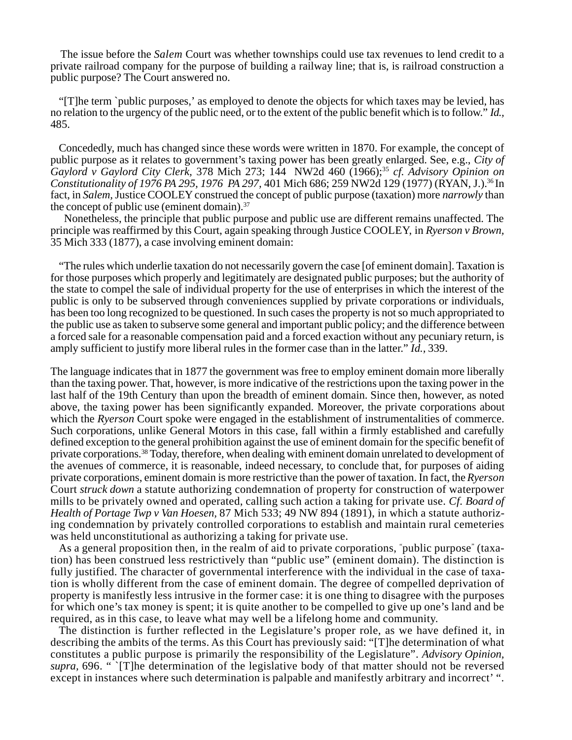The issue before the *Salem* Court was whether townships could use tax revenues to lend credit to a private railroad company for the purpose of building a railway line; that is, is railroad construction a public purpose? The Court answered no.

"[T]he term `public purposes,' as employed to denote the objects for which taxes may be levied, has no relation to the urgency of the public need, or to the extent of the public benefit which is to follow." *Id.,* 485.

Concededly, much has changed since these words were written in 1870. For example, the concept of public purpose as it relates to government's taxing power has been greatly enlarged. See, e.g., *City of Gaylord v Gaylord City Clerk,* 378 Mich 273; 144 NW2d 460 (1966);35 *cf. Advisory Opinion on Constitutionality of 1976 PA 295, 1976 PA 297,* 401 Mich 686; 259 NW2d 129 (1977) (RYAN, J.).36 In fact, in *Salem,* Justice COOLEY construed the concept of public purpose (taxation) more *narrowly* than the concept of public use (eminent domain). $37$ 

 Nonetheless, the principle that public purpose and public use are different remains unaffected. The principle was reaffirmed by this Court, again speaking through Justice COOLEY, in *Ryerson v Brown,* 35 Mich 333 (1877), a case involving eminent domain:

"The rules which underlie taxation do not necessarily govern the case [of eminent domain]. Taxation is for those purposes which properly and legitimately are designated public purposes; but the authority of the state to compel the sale of individual property for the use of enterprises in which the interest of the public is only to be subserved through conveniences supplied by private corporations or individuals, has been too long recognized to be questioned. In such cases the property is not so much appropriated to the public use as taken to subserve some general and important public policy; and the difference between a forced sale for a reasonable compensation paid and a forced exaction without any pecuniary return, is amply sufficient to justify more liberal rules in the former case than in the latter." *Id.,* 339.

The language indicates that in 1877 the government was free to employ eminent domain more liberally than the taxing power. That, however, is more indicative of the restrictions upon the taxing power in the last half of the 19th Century than upon the breadth of eminent domain. Since then, however, as noted above, the taxing power has been significantly expanded. Moreover, the private corporations about which the *Ryerson* Court spoke were engaged in the establishment of instrumentalities of commerce. Such corporations, unlike General Motors in this case, fall within a firmly established and carefully defined exception to the general prohibition against the use of eminent domain for the specific benefit of private corporations.38 Today, therefore, when dealing with eminent domain unrelated to development of the avenues of commerce, it is reasonable, indeed necessary, to conclude that, for purposes of aiding private corporations, eminent domain is more restrictive than the power of taxation. In fact, the *Ryerson* Court *struck down* a statute authorizing condemnation of property for construction of waterpower mills to be privately owned and operated, calling such action a taking for private use. *Cf. Board of Health of Portage Twp v Van Hoesen,* 87 Mich 533; 49 NW 894 (1891), in which a statute authorizing condemnation by privately controlled corporations to establish and maintain rural cemeteries was held unconstitutional as authorizing a taking for private use.

As a general proposition then, in the realm of aid to private corporations, " public purpose" (taxation) has been construed less restrictively than "public use" (eminent domain). The distinction is fully justified. The character of governmental interference with the individual in the case of taxation is wholly different from the case of eminent domain. The degree of compelled deprivation of property is manifestly less intrusive in the former case: it is one thing to disagree with the purposes for which one's tax money is spent; it is quite another to be compelled to give up one's land and be required, as in this case, to leave what may well be a lifelong home and community.

The distinction is further reflected in the Legislature's proper role, as we have defined it, in describing the ambits of the terms. As this Court has previously said: "[T]he determination of what constitutes a public purpose is primarily the responsibility of the Legislature". *Advisory Opinion, supra,* 696. " `[T]he determination of the legislative body of that matter should not be reversed except in instances where such determination is palpable and manifestly arbitrary and incorrect' ".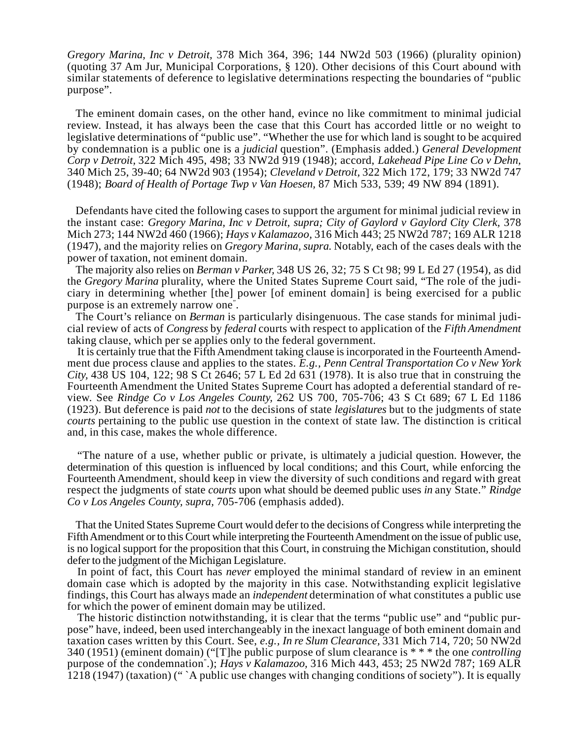*Gregory Marina, Inc v Detroit,* 378 Mich 364, 396; 144 NW2d 503 (1966) (plurality opinion) (quoting 37 Am Jur, Municipal Corporations, § 120). Other decisions of this Court abound with similar statements of deference to legislative determinations respecting the boundaries of "public purpose".

The eminent domain cases, on the other hand, evince no like commitment to minimal judicial review. Instead, it has always been the case that this Court has accorded little or no weight to legislative determinations of "public use". "Whether the use for which land is sought to be acquired by condemnation is a public one is a *judicial* question". (Emphasis added.) *General Development Corp v Detroit,* 322 Mich 495, 498; 33 NW2d 919 (1948); accord, *Lakehead Pipe Line Co v Dehn,* 340 Mich 25, 39-40; 64 NW2d 903 (1954); *Cleveland v Detroit,* 322 Mich 172, 179; 33 NW2d 747 (1948); *Board of Health of Portage Twp v Van Hoesen,* 87 Mich 533, 539; 49 NW 894 (1891).

Defendants have cited the following cases to support the argument for minimal judicial review in the instant case: *Gregory Marina, Inc v Detroit, supra; City of Gaylord v Gaylord City Clerk,* 378 Mich 273; 144 NW2d 460 (1966); *Hays v Kalamazoo,* 316 Mich 443; 25 NW2d 787; 169 ALR 1218 (1947), and the majority relies on *Gregory Marina, supra.* Notably, each of the cases deals with the power of taxation, not eminent domain.

The majority also relies on *Berman v Parker,* 348 US 26, 32; 75 S Ct 98; 99 L Ed 27 (1954), as did the *Gregory Marina* plurality, where the United States Supreme Court said, "The role of the judiciary in determining whether [the] power [of eminent domain] is being exercised for a public purpose is an extremely narrow one" .

The Court's reliance on *Berman* is particularly disingenuous. The case stands for minimal judicial review of acts of *Congress* by *federal* courts with respect to application of the *Fifth Amendment* taking clause, which per se applies only to the federal government.

It is certainly true that the Fifth Amendment taking clause is incorporated in the Fourteenth Amendment due process clause and applies to the states. *E.g., Penn Central Transportation Co v New York City,* 438 US 104, 122; 98 S Ct 2646; 57 L Ed 2d 631 (1978). It is also true that in construing the Fourteenth Amendment the United States Supreme Court has adopted a deferential standard of review. See *Rindge Co v Los Angeles County,* 262 US 700, 705-706; 43 S Ct 689; 67 L Ed 1186 (1923). But deference is paid *not* to the decisions of state *legislatures* but to the judgments of state *courts* pertaining to the public use question in the context of state law. The distinction is critical and, in this case, makes the whole difference.

"The nature of a use, whether public or private, is ultimately a judicial question. However, the determination of this question is influenced by local conditions; and this Court, while enforcing the Fourteenth Amendment, should keep in view the diversity of such conditions and regard with great respect the judgments of state *courts* upon what should be deemed public uses *in* any State." *Rindge Co v Los Angeles County, supra,* 705-706 (emphasis added).

That the United States Supreme Court would defer to the decisions of Congress while interpreting the Fifth Amendment or to this Court while interpreting the Fourteenth Amendment on the issue of public use, is no logical support for the proposition that this Court, in construing the Michigan constitution, should defer to the judgment of the Michigan Legislature.

In point of fact, this Court has *never* employed the minimal standard of review in an eminent domain case which is adopted by the majority in this case. Notwithstanding explicit legislative findings, this Court has always made an *independent* determination of what constitutes a public use for which the power of eminent domain may be utilized.

The historic distinction notwithstanding, it is clear that the terms "public use" and "public purpose" have, indeed, been used interchangeably in the inexact language of both eminent domain and taxation cases written by this Court. See, *e.g., In re Slum Clearance,* 331 Mich 714, 720; 50 NW2d 340 (1951) (eminent domain) ("[T]he public purpose of slum clearance is \* \* \* the one *controlling* purpose of the condemnation" .); *Hays v Kalamazoo,* 316 Mich 443, 453; 25 NW2d 787; 169 ALR 1218 (1947) (taxation) (" `A public use changes with changing conditions of society"). It is equally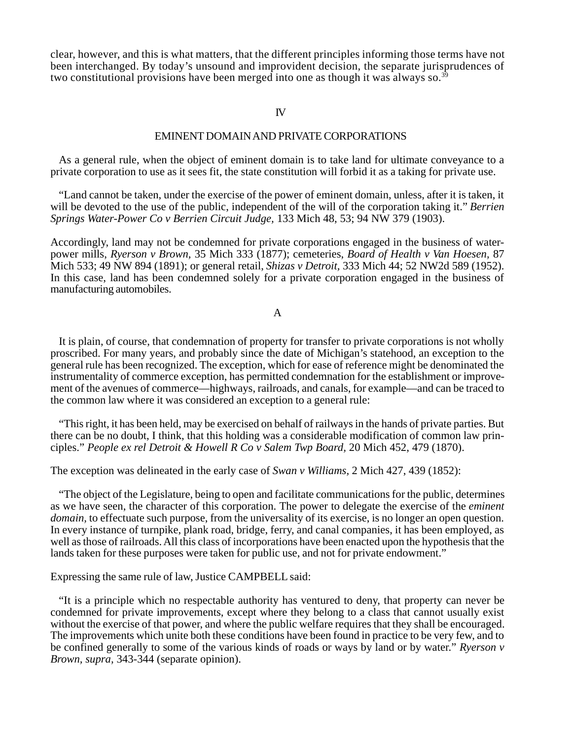clear, however, and this is what matters, that the different principles informing those terms have not been interchanged. By today's unsound and improvident decision, the separate jurisprudences of two constitutional provisions have been merged into one as though it was always so.<sup>39</sup>

#### IV

#### EMINENT DOMAIN AND PRIVATE CORPORATIONS

As a general rule, when the object of eminent domain is to take land for ultimate conveyance to a private corporation to use as it sees fit, the state constitution will forbid it as a taking for private use.

"Land cannot be taken, under the exercise of the power of eminent domain, unless, after it is taken, it will be devoted to the use of the public, independent of the will of the corporation taking it." *Berrien Springs Water-Power Co v Berrien Circuit Judge,* 133 Mich 48, 53; 94 NW 379 (1903).

Accordingly, land may not be condemned for private corporations engaged in the business of waterpower mills, *Ryerson v Brown,* 35 Mich 333 (1877); cemeteries, *Board of Health v Van Hoesen,* 87 Mich 533; 49 NW 894 (1891); or general retail, *Shizas v Detroit,* 333 Mich 44; 52 NW2d 589 (1952). In this case, land has been condemned solely for a private corporation engaged in the business of manufacturing automobiles.

#### A

It is plain, of course, that condemnation of property for transfer to private corporations is not wholly proscribed. For many years, and probably since the date of Michigan's statehood, an exception to the general rule has been recognized. The exception, which for ease of reference might be denominated the instrumentality of commerce exception, has permitted condemnation for the establishment or improvement of the avenues of commerce—highways, railroads, and canals, for example—and can be traced to the common law where it was considered an exception to a general rule:

"This right, it has been held, may be exercised on behalf of railways in the hands of private parties. But there can be no doubt, I think, that this holding was a considerable modification of common law principles." *People ex rel Detroit & Howell R Co v Salem Twp Board,* 20 Mich 452, 479 (1870).

The exception was delineated in the early case of *Swan v Williams,* 2 Mich 427, 439 (1852):

"The object of the Legislature, being to open and facilitate communications for the public, determines as we have seen, the character of this corporation. The power to delegate the exercise of the *eminent domain*, to effectuate such purpose, from the universality of its exercise, is no longer an open question. In every instance of turnpike, plank road, bridge, ferry, and canal companies, it has been employed, as well as those of railroads. All this class of incorporations have been enacted upon the hypothesis that the lands taken for these purposes were taken for public use, and not for private endowment."

Expressing the same rule of law, Justice CAMPBELL said:

"It is a principle which no respectable authority has ventured to deny, that property can never be condemned for private improvements, except where they belong to a class that cannot usually exist without the exercise of that power, and where the public welfare requires that they shall be encouraged. The improvements which unite both these conditions have been found in practice to be very few, and to be confined generally to some of the various kinds of roads or ways by land or by water." *Ryerson v Brown, supra,* 343-344 (separate opinion).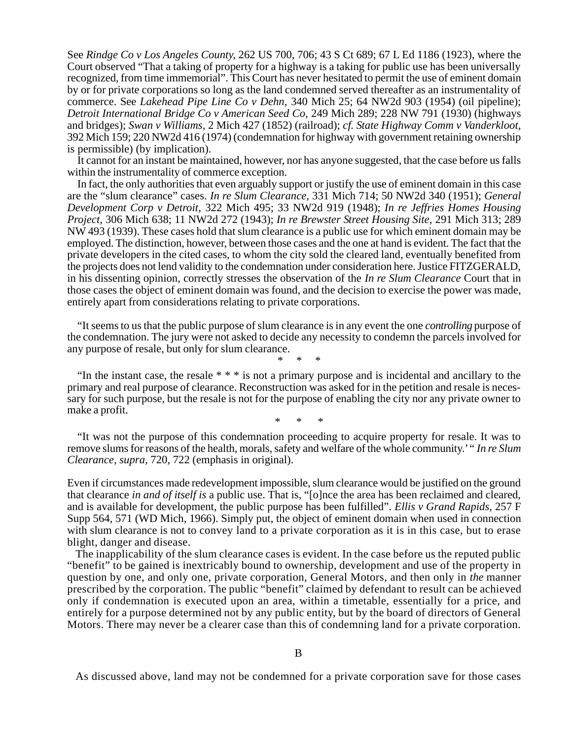See *Rindge Co v Los Angeles County,* 262 US 700, 706; 43 S Ct 689; 67 L Ed 1186 (1923), where the Court observed "That a taking of property for a highway is a taking for public use has been universally recognized, from time immemorial". This Court has never hesitated to permit the use of eminent domain by or for private corporations so long as the land condemned served thereafter as an instrumentality of commerce. See *Lakehead Pipe Line Co v Dehn,* 340 Mich 25; 64 NW2d 903 (1954) (oil pipeline); *Detroit International Bridge Co v American Seed Co,* 249 Mich 289; 228 NW 791 (1930) (highways and bridges); *Swan v Williams,* 2 Mich 427 (1852) (railroad); *cf. State Highway Comm v Vanderkloot,* 392 Mich 159; 220 NW2d 416 (1974) (condemnation for highway with government retaining ownership is permissible) (by implication).

It cannot for an instant be maintained, however, nor has anyone suggested, that the case before us falls within the instrumentality of commerce exception.

In fact, the only authorities that even arguably support or justify the use of eminent domain in this case are the "slum clearance" cases. *In re Slum Clearance,* 331 Mich 714; 50 NW2d 340 (1951); *General Development Corp v Detroit,* 322 Mich 495; 33 NW2d 919 (1948); *In re Jeffries Homes Housing Project,* 306 Mich 638; 11 NW2d 272 (1943); *In re Brewster Street Housing Site,* 291 Mich 313; 289 NW 493 (1939). These cases hold that slum clearance is a public use for which eminent domain may be employed. The distinction, however, between those cases and the one at hand is evident. The fact that the private developers in the cited cases, to whom the city sold the cleared land, eventually benefited from the projects does not lend validity to the condemnation under consideration here. Justice FITZGERALD, in his dissenting opinion, correctly stresses the observation of the *In re Slum Clearance* Court that in those cases the object of eminent domain was found, and the decision to exercise the power was made, entirely apart from considerations relating to private corporations.

"It seems to us that the public purpose of slum clearance is in any event the one *controlling* purpose of the condemnation. The jury were not asked to decide any necessity to condemn the parcels involved for any purpose of resale, but only for slum clearance.

\* \* \*

"In the instant case, the resale \* \* \* is not a primary purpose and is incidental and ancillary to the primary and real purpose of clearance. Reconstruction was asked for in the petition and resale is necessary for such purpose, but the resale is not for the purpose of enabling the city nor any private owner to make a profit.

\* \* \*

"It was not the purpose of this condemnation proceeding to acquire property for resale. It was to remove slums for reasons of the health, morals, safety and welfare of the whole community.' " *In re Slum Clearance, supra,* 720, 722 (emphasis in original).

Even if circumstances made redevelopment impossible, slum clearance would be justified on the ground that clearance *in and of itself is* a public use. That is, "[o]nce the area has been reclaimed and cleared, and is available for development, the public purpose has been fulfilled". *Ellis v Grand Rapids,* 257 F Supp 564, 571 (WD Mich, 1966). Simply put, the object of eminent domain when used in connection with slum clearance is not to convey land to a private corporation as it is in this case, but to erase blight, danger and disease.

The inapplicability of the slum clearance cases is evident. In the case before us the reputed public "benefit" to be gained is inextricably bound to ownership, development and use of the property in question by one, and only one, private corporation, General Motors, and then only in *the* manner prescribed by the corporation. The public "benefit" claimed by defendant to result can be achieved only if condemnation is executed upon an area, within a timetable, essentially for a price, and entirely for a purpose determined not by any public entity, but by the board of directors of General Motors. There may never be a clearer case than this of condemning land for a private corporation.

As discussed above, land may not be condemned for a private corporation save for those cases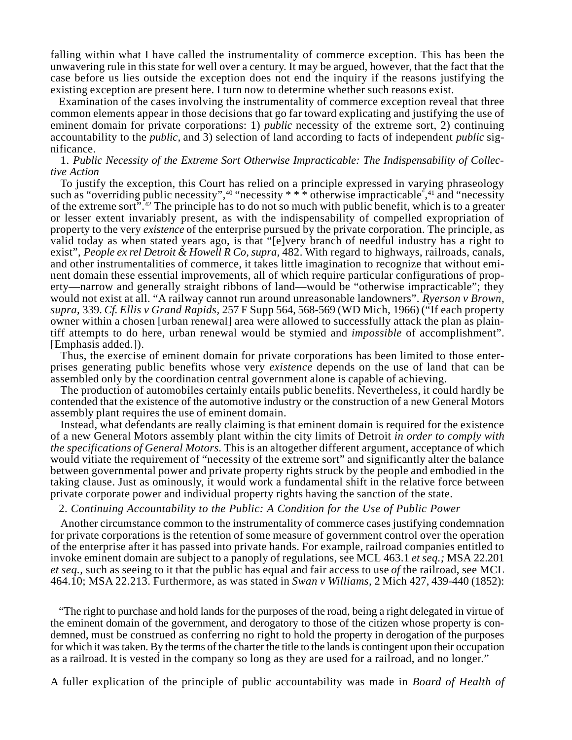falling within what I have called the instrumentality of commerce exception. This has been the unwavering rule in this state for well over a century. It may be argued, however, that the fact that the case before us lies outside the exception does not end the inquiry if the reasons justifying the existing exception are present here. I turn now to determine whether such reasons exist.

Examination of the cases involving the instrumentality of commerce exception reveal that three common elements appear in those decisions that go far toward explicating and justifying the use of eminent domain for private corporations: 1) *public* necessity of the extreme sort, 2) continuing accountability to the *public,* and 3) selection of land according to facts of independent *public* significance.

### 1. *Public Necessity of the Extreme Sort Otherwise Impracticable: The Indispensability of Collective Action*

To justify the exception, this Court has relied on a principle expressed in varying phraseology such as "overriding public necessity",<sup>40</sup> "necessity \* \* \* otherwise impracticable<sup>"</sup>,<sup>41</sup> and "necessity of the extreme sort".42 The principle has to do not so much with public benefit, which is to a greater or lesser extent invariably present, as with the indispensability of compelled expropriation of property to the very *existence* of the enterprise pursued by the private corporation. The principle, as valid today as when stated years ago, is that "[e]very branch of needful industry has a right to exist", *People ex rel Detroit & Howell R Co, supra,* 482. With regard to highways, railroads, canals, and other instrumentalities of commerce, it takes little imagination to recognize that without eminent domain these essential improvements, all of which require particular configurations of property—narrow and generally straight ribbons of land—would be "otherwise impracticable"; they would not exist at all. "A railway cannot run around unreasonable landowners". *Ryerson v Brown, supra,* 339. *Cf. Ellis v Grand Rapids,* 257 F Supp 564, 568-569 (WD Mich, 1966) ("If each property owner within a chosen [urban renewal] area were allowed to successfully attack the plan as plaintiff attempts to do here, urban renewal would be stymied and *impossible* of accomplishment". [Emphasis added.]).

Thus, the exercise of eminent domain for private corporations has been limited to those enterprises generating public benefits whose very *existence* depends on the use of land that can be assembled only by the coordination central government alone is capable of achieving.

The production of automobiles certainly entails public benefits. Nevertheless, it could hardly be contended that the existence of the automotive industry or the construction of a new General Motors assembly plant requires the use of eminent domain.

Instead, what defendants are really claiming is that eminent domain is required for the existence of a new General Motors assembly plant within the city limits of Detroit *in order to comply with the specifications of General Motors.* This is an altogether different argument, acceptance of which would vitiate the requirement of "necessity of the extreme sort" and significantly alter the balance between governmental power and private property rights struck by the people and embodied in the taking clause. Just as ominously, it would work a fundamental shift in the relative force between private corporate power and individual property rights having the sanction of the state.

### 2. *Continuing Accountability to the Public: A Condition for the Use of Public Power*

Another circumstance common to the instrumentality of commerce cases justifying condemnation for private corporations is the retention of some measure of government control over the operation of the enterprise after it has passed into private hands. For example, railroad companies entitled to invoke eminent domain are subject to a panoply of regulations, see MCL 463.1 *et seq.;* MSA 22.201 *et seq.,* such as seeing to it that the public has equal and fair access to use *of* the railroad, see MCL 464.10; MSA 22.213. Furthermore, as was stated in *Swan v Williams,* 2 Mich 427, 439-440 (1852):

"The right to purchase and hold lands for the purposes of the road, being a right delegated in virtue of the eminent domain of the government, and derogatory to those of the citizen whose property is condemned, must be construed as conferring no right to hold the property in derogation of the purposes for which it was taken. By the terms of the charter the title to the lands is contingent upon their occupation as a railroad. It is vested in the company so long as they are used for a railroad, and no longer."

A fuller explication of the principle of public accountability was made in *Board of Health of*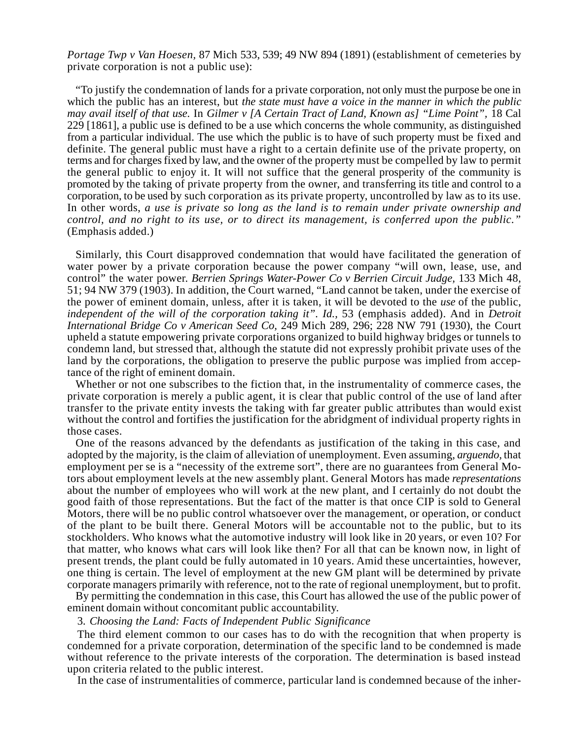*Portage Twp v Van Hoesen,* 87 Mich 533, 539; 49 NW 894 (1891) (establishment of cemeteries by private corporation is not a public use):

"To justify the condemnation of lands for a private corporation, not only must the purpose be one in which the public has an interest, but *the state must have a voice in the manner in which the public may avail itself of that use.* In *Gilmer v [A Certain Tract of Land, Known as] "Lime Point",* 18 Cal 229 [1861], a public use is defined to be a use which concerns the whole community, as distinguished from a particular individual. The use which the public is to have of such property must be fixed and definite. The general public must have a right to a certain definite use of the private property, on terms and for charges fixed by law, and the owner of the property must be compelled by law to permit the general public to enjoy it. It will not suffice that the general prosperity of the community is promoted by the taking of private property from the owner, and transferring its title and control to a corporation, to be used by such corporation as its private property, uncontrolled by law as to its use. In other words, *a use is private so long as the land is to remain under private ownership and control, and no right to its use, or to direct its management, is conferred upon the public."* (Emphasis added.)

Similarly, this Court disapproved condemnation that would have facilitated the generation of water power by a private corporation because the power company "will own, lease, use, and control" the water power. *Berrien Springs Water-Power Co v Berrien Circuit Judge,* 133 Mich 48, 51; 94 NW 379 (1903). In addition, the Court warned, "Land cannot be taken, under the exercise of the power of eminent domain, unless, after it is taken, it will be devoted to the *use* of the public, *independent of the will of the corporation taking it". Id.,* 53 (emphasis added). And in *Detroit International Bridge Co v American Seed Co,* 249 Mich 289, 296; 228 NW 791 (1930), the Court upheld a statute empowering private corporations organized to build highway bridges or tunnels to condemn land, but stressed that, although the statute did not expressly prohibit private uses of the land by the corporations, the obligation to preserve the public purpose was implied from acceptance of the right of eminent domain.

Whether or not one subscribes to the fiction that, in the instrumentality of commerce cases, the private corporation is merely a public agent, it is clear that public control of the use of land after transfer to the private entity invests the taking with far greater public attributes than would exist without the control and fortifies the justification for the abridgment of individual property rights in those cases.

One of the reasons advanced by the defendants as justification of the taking in this case, and adopted by the majority, is the claim of alleviation of unemployment. Even assuming, *arguendo,* that employment per se is a "necessity of the extreme sort", there are no guarantees from General Motors about employment levels at the new assembly plant. General Motors has made *representations* about the number of employees who will work at the new plant, and I certainly do not doubt the good faith of those representations. But the fact of the matter is that once CIP is sold to General Motors, there will be no public control whatsoever over the management, or operation, or conduct of the plant to be built there. General Motors will be accountable not to the public, but to its stockholders. Who knows what the automotive industry will look like in 20 years, or even 10? For that matter, who knows what cars will look like then? For all that can be known now, in light of present trends, the plant could be fully automated in 10 years. Amid these uncertainties, however, one thing is certain. The level of employment at the new GM plant will be determined by private corporate managers primarily with reference, not to the rate of regional unemployment, but to profit.

By permitting the condemnation in this case, this Court has allowed the use of the public power of eminent domain without concomitant public accountability.

#### 3*. Choosing the Land: Facts of Independent Public Significance*

The third element common to our cases has to do with the recognition that when property is condemned for a private corporation, determination of the specific land to be condemned is made without reference to the private interests of the corporation. The determination is based instead upon criteria related to the public interest.

In the case of instrumentalities of commerce, particular land is condemned because of the inher-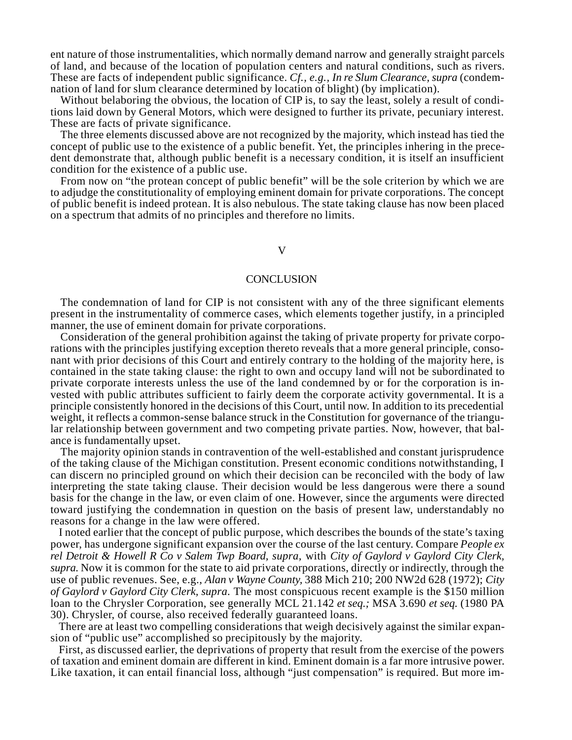ent nature of those instrumentalities, which normally demand narrow and generally straight parcels of land, and because of the location of population centers and natural conditions, such as rivers. These are facts of independent public significance. *Cf., e.g., In re Slum Clearance, supra* (condemnation of land for slum clearance determined by location of blight) (by implication).

Without belaboring the obvious, the location of CIP is, to say the least, solely a result of conditions laid down by General Motors, which were designed to further its private, pecuniary interest. These are facts of private significance.

The three elements discussed above are not recognized by the majority, which instead has tied the concept of public use to the existence of a public benefit. Yet, the principles inhering in the precedent demonstrate that, although public benefit is a necessary condition, it is itself an insufficient condition for the existence of a public use.

From now on "the protean concept of public benefit" will be the sole criterion by which we are to adjudge the constitutionality of employing eminent domain for private corporations. The concept of public benefit is indeed protean. It is also nebulous. The state taking clause has now been placed on a spectrum that admits of no principles and therefore no limits.

#### V

#### **CONCLUSION**

The condemnation of land for CIP is not consistent with any of the three significant elements present in the instrumentality of commerce cases, which elements together justify, in a principled manner, the use of eminent domain for private corporations.

Consideration of the general prohibition against the taking of private property for private corporations with the principles justifying exception thereto reveals that a more general principle, consonant with prior decisions of this Court and entirely contrary to the holding of the majority here, is contained in the state taking clause: the right to own and occupy land will not be subordinated to private corporate interests unless the use of the land condemned by or for the corporation is invested with public attributes sufficient to fairly deem the corporate activity governmental. It is a principle consistently honored in the decisions of this Court, until now. In addition to its precedential weight, it reflects a common-sense balance struck in the Constitution for governance of the triangular relationship between government and two competing private parties. Now, however, that balance is fundamentally upset.

The majority opinion stands in contravention of the well-established and constant jurisprudence of the taking clause of the Michigan constitution. Present economic conditions notwithstanding, I can discern no principled ground on which their decision can be reconciled with the body of law interpreting the state taking clause. Their decision would be less dangerous were there a sound basis for the change in the law, or even claim of one. However, since the arguments were directed toward justifying the condemnation in question on the basis of present law, understandably no reasons for a change in the law were offered.

I noted earlier that the concept of public purpose, which describes the bounds of the state's taxing power, has undergone significant expansion over the course of the last century. Compare *People ex rel Detroit & Howell R Co v Salem Twp Board, supra,* with *City of Gaylord v Gaylord City Clerk, supra.* Now it is common for the state to aid private corporations, directly or indirectly, through the use of public revenues. See, e.g., *Alan v Wayne County,* 388 Mich 210; 200 NW2d 628 (1972); *City of Gaylord v Gaylord City Clerk, supra.* The most conspicuous recent example is the \$150 million loan to the Chrysler Corporation, see generally MCL 21.142 *et seq.;* MSA 3.690 *et seq.* (1980 PA 30). Chrysler, of course, also received federally guaranteed loans.

There are at least two compelling considerations that weigh decisively against the similar expansion of "public use" accomplished so precipitously by the majority.

First, as discussed earlier, the deprivations of property that result from the exercise of the powers of taxation and eminent domain are different in kind. Eminent domain is a far more intrusive power. Like taxation, it can entail financial loss, although "just compensation" is required. But more im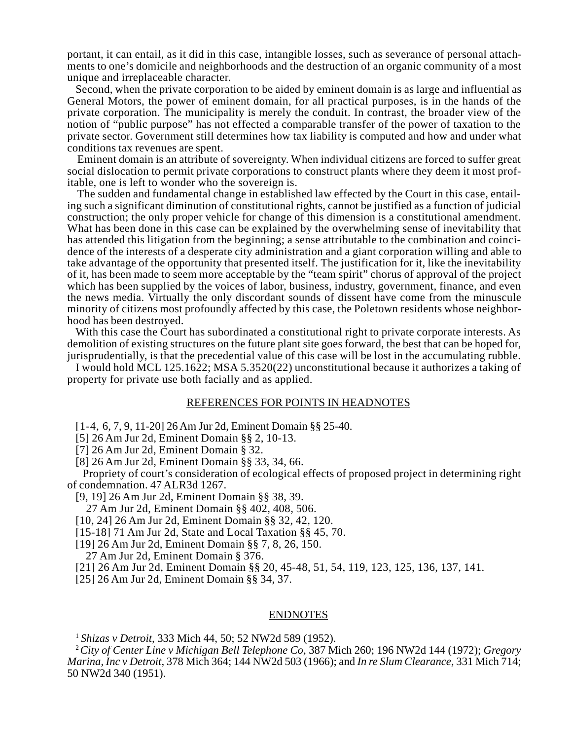portant, it can entail, as it did in this case, intangible losses, such as severance of personal attachments to one's domicile and neighborhoods and the destruction of an organic community of a most unique and irreplaceable character.

Second, when the private corporation to be aided by eminent domain is as large and influential as General Motors, the power of eminent domain, for all practical purposes, is in the hands of the private corporation. The municipality is merely the conduit. In contrast, the broader view of the notion of "public purpose" has not effected a comparable transfer of the power of taxation to the private sector. Government still determines how tax liability is computed and how and under what conditions tax revenues are spent.

Eminent domain is an attribute of sovereignty. When individual citizens are forced to suffer great social dislocation to permit private corporations to construct plants where they deem it most profitable, one is left to wonder who the sovereign is.

The sudden and fundamental change in established law effected by the Court in this case, entailing such a significant diminution of constitutional rights, cannot be justified as a function of judicial construction; the only proper vehicle for change of this dimension is a constitutional amendment. What has been done in this case can be explained by the overwhelming sense of inevitability that has attended this litigation from the beginning; a sense attributable to the combination and coincidence of the interests of a desperate city administration and a giant corporation willing and able to take advantage of the opportunity that presented itself. The justification for it, like the inevitability of it, has been made to seem more acceptable by the "team spirit" chorus of approval of the project which has been supplied by the voices of labor, business, industry, government, finance, and even the news media. Virtually the only discordant sounds of dissent have come from the minuscule minority of citizens most profoundly affected by this case, the Poletown residents whose neighborhood has been destroyed.

With this case the Court has subordinated a constitutional right to private corporate interests. As demolition of existing structures on the future plant site goes forward, the best that can be hoped for, jurisprudentially, is that the precedential value of this case will be lost in the accumulating rubble.

I would hold MCL 125.1622; MSA 5.3520(22) unconstitutional because it authorizes a taking of property for private use both facially and as applied.

#### REFERENCES FOR POINTS IN HEADNOTES

[1-4, 6, 7, 9, 11-20] 26 Am Jur 2d, Eminent Domain §§ 25-40.

[5] 26 Am Jur 2d, Eminent Domain §§ 2, 10-13.

[7] 26 Am Jur 2d, Eminent Domain § 32.

[8] 26 Am Jur 2d, Eminent Domain §§ 33, 34, 66.

 Propriety of court's consideration of ecological effects of proposed project in determining right of condemnation. 47 ALR3d 1267.

[9, 19] 26 Am Jur 2d, Eminent Domain §§ 38, 39.

27 Am Jur 2d, Eminent Domain §§ 402, 408, 506.

[10, 24] 26 Am Jur 2d, Eminent Domain §§ 32, 42, 120.

[15-18] 71 Am Jur 2d, State and Local Taxation §§ 45, 70.

[19] 26 Am Jur 2d, Eminent Domain §§ 7, 8, 26, 150.

27 Am Jur 2d, Eminent Domain § 376.

[21] 26 Am Jur 2d, Eminent Domain §§ 20, 45-48, 51, 54, 119, 123, 125, 136, 137, 141.

[25] 26 Am Jur 2d, Eminent Domain §§ 34, 37.

#### ENDNOTES

<sup>1</sup>*Shizas v Detroit,* 333 Mich 44, 50; 52 NW2d 589 (1952).

<sup>2</sup>*City of Center Line v Michigan Bell Telephone Co,* 387 Mich 260; 196 NW2d 144 (1972); *Gregory Marina, Inc v Detroit,* 378 Mich 364; 144 NW2d 503 (1966); and *In re Slum Clearance,* 331 Mich 714; 50 NW2d 340 (1951).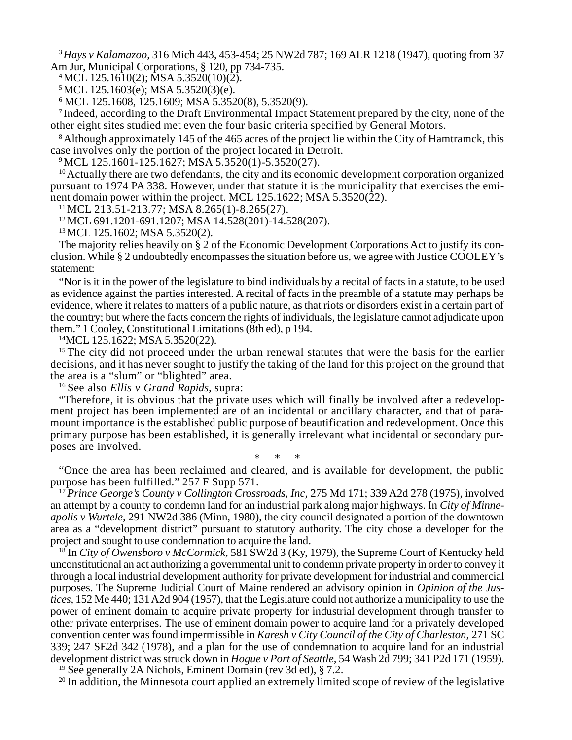<sup>3</sup>*Hays v Kalamazoo,* 316 Mich 443, 453-454; 25 NW2d 787; 169 ALR 1218 (1947), quoting from 37 Am Jur, Municipal Corporations, § 120, pp 734-735.

 $4$ MCL 125.1610(2); MSA 5.3520(10)(2).

5 MCL 125.1603(e); MSA 5.3520(3)(e).

6 MCL 125.1608, 125.1609; MSA 5.3520(8), 5.3520(9).

7 Indeed, according to the Draft Environmental Impact Statement prepared by the city, none of the other eight sites studied met even the four basic criteria specified by General Motors.

<sup>8</sup> Although approximately 145 of the 465 acres of the project lie within the City of Hamtramck, this case involves only the portion of the project located in Detroit.

9 MCL 125.1601-125.1627; MSA 5.3520(1)-5.3520(27).

<sup>10</sup> Actually there are two defendants, the city and its economic development corporation organized pursuant to 1974 PA 338. However, under that statute it is the municipality that exercises the eminent domain power within the project. MCL 125.1622; MSA 5.3520(22).

11 MCL 213.51-213.77; MSA 8.265(1)-8.265(27).

12 MCL 691.1201-691.1207; MSA 14.528(201)-14.528(207).

13 MCL 125.1602; MSA 5.3520(2).

The majority relies heavily on § 2 of the Economic Development Corporations Act to justify its conclusion. While § 2 undoubtedly encompasses the situation before us, we agree with Justice COOLEY's statement:

"Nor is it in the power of the legislature to bind individuals by a recital of facts in a statute, to be used as evidence against the parties interested. A recital of facts in the preamble of a statute may perhaps be evidence, where it relates to matters of a public nature, as that riots or disorders exist in a certain part of the country; but where the facts concern the rights of individuals, the legislature cannot adjudicate upon them." 1 Cooley, Constitutional Limitations (8th ed), p 194.

14MCL 125.1622; MSA 5.3520(22).

<sup>15</sup> The city did not proceed under the urban renewal statutes that were the basis for the earlier decisions, and it has never sought to justify the taking of the land for this project on the ground that the area is a "slum" or "blighted" area.

16 See also *Ellis v Grand Rapids,* supra:

"Therefore, it is obvious that the private uses which will finally be involved after a redevelopment project has been implemented are of an incidental or ancillary character, and that of paramount importance is the established public purpose of beautification and redevelopment. Once this primary purpose has been established, it is generally irrelevant what incidental or secondary purposes are involved.

\* \* \*

"Once the area has been reclaimed and cleared, and is available for development, the public purpose has been fulfilled." 257 F Supp 571.

<sup>17</sup> Prince George's County v Collington Crossroads, Inc, 275 Md 171; 339 A2d 278 (1975), involved an attempt by a county to condemn land for an industrial park along major highways. In *City of Minneapolis v Wurtele,* 291 NW2d 386 (Minn, 1980), the city council designated a portion of the downtown area as a "development district" pursuant to statutory authority. The city chose a developer for the project and sought to use condemnation to acquire the land.

<sup>18</sup> In *City of Owensboro v McCormick*, 581 SW2d 3 (Ky, 1979), the Supreme Court of Kentucky held unconstitutional an act authorizing a governmental unit to condemn private property in order to convey it through a local industrial development authority for private development for industrial and commercial purposes. The Supreme Judicial Court of Maine rendered an advisory opinion in *Opinion of the Justices,* 152 Me 440; 131 A2d 904 (1957), that the Legislature could not authorize a municipality to use the power of eminent domain to acquire private property for industrial development through transfer to other private enterprises. The use of eminent domain power to acquire land for a privately developed convention center was found impermissible in *Karesh v City Council of the City of Charleston,* 271 SC 339; 247 SE2d 342 (1978), and a plan for the use of condemnation to acquire land for an industrial development district was struck down in *Hogue v Port of Seattle,* 54 Wash 2d 799; 341 P2d 171 (1959). 19 See generally 2A Nichols, Eminent Domain (rev 3d ed), § 7.2.

 $20$  In addition, the Minnesota court applied an extremely limited scope of review of the legislative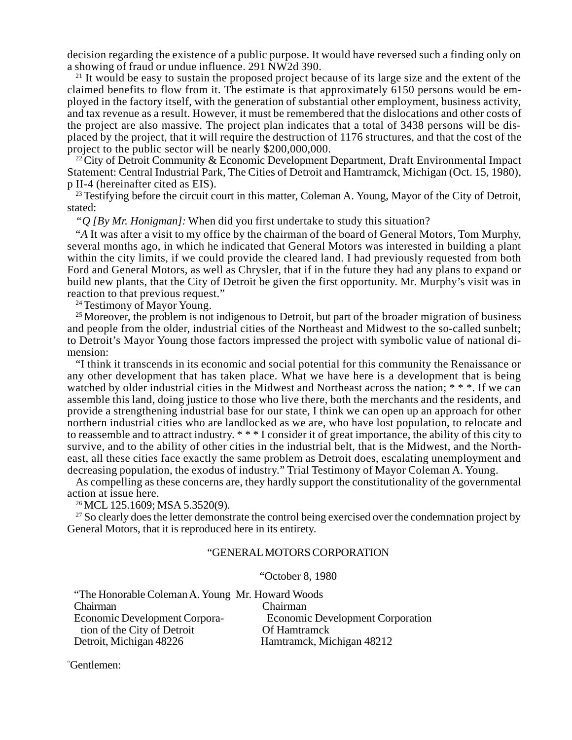decision regarding the existence of a public purpose. It would have reversed such a finding only on a showing of fraud or undue influence. 291 NW2d 390.

 $2<sup>1</sup>$  It would be easy to sustain the proposed project because of its large size and the extent of the claimed benefits to flow from it. The estimate is that approximately 6150 persons would be employed in the factory itself, with the generation of substantial other employment, business activity, and tax revenue as a result. However, it must be remembered that the dislocations and other costs of the project are also massive. The project plan indicates that a total of 3438 persons will be displaced by the project, that it will require the destruction of 1176 structures, and that the cost of the project to the public sector will be nearly \$200,000,000.

 $22$  City of Detroit Community & Economic Development Department, Draft Environmental Impact Statement: Central Industrial Park, The Cities of Detroit and Hamtramck, Michigan (Oct. 15, 1980), p II-4 (hereinafter cited as EIS).

<sup>23</sup> Testifying before the circuit court in this matter, Coleman A. Young, Mayor of the City of Detroit, stated:

*"Q [By Mr. Honigman]:* When did you first undertake to study this situation?

"*A* It was after a visit to my office by the chairman of the board of General Motors, Tom Murphy, several months ago, in which he indicated that General Motors was interested in building a plant within the city limits, if we could provide the cleared land. I had previously requested from both Ford and General Motors, as well as Chrysler, that if in the future they had any plans to expand or build new plants, that the City of Detroit be given the first opportunity. Mr. Murphy's visit was in reaction to that previous request."

<sup>24</sup> Testimony of Mayor Young.

<sup>25</sup> Moreover, the problem is not indigenous to Detroit, but part of the broader migration of business and people from the older, industrial cities of the Northeast and Midwest to the so-called sunbelt; to Detroit's Mayor Young those factors impressed the project with symbolic value of national dimension:

"I think it transcends in its economic and social potential for this community the Renaissance or any other development that has taken place. What we have here is a development that is being watched by older industrial cities in the Midwest and Northeast across the nation; \* \* \*. If we can assemble this land, doing justice to those who live there, both the merchants and the residents, and provide a strengthening industrial base for our state, I think we can open up an approach for other northern industrial cities who are landlocked as we are, who have lost population, to relocate and to reassemble and to attract industry. \* \* \* I consider it of great importance, the ability of this city to survive, and to the ability of other cities in the industrial belt, that is the Midwest, and the Northeast, all these cities face exactly the same problem as Detroit does, escalating unemployment and decreasing population, the exodus of industry." Trial Testimony of Mayor Coleman A. Young.

As compelling as these concerns are, they hardly support the constitutionality of the governmental action at issue here.

26 MCL 125.1609; MSA 5.3520(9).

<sup>27</sup> So clearly does the letter demonstrate the control being exercised over the condemnation project by General Motors, that it is reproduced here in its entirety.

#### "GENERAL MOTORS CORPORATION

"October 8, 1980

| "The Honorable Coleman A. Young Mr. Howard Woods" |                                         |
|---------------------------------------------------|-----------------------------------------|
| Chairman                                          | Chairman                                |
| Economic Development Corpora-                     | <b>Economic Development Corporation</b> |
| tion of the City of Detroit                       | Of Hamtramck                            |
| Detroit, Michigan 48226                           | Hamtramck, Michigan 48212               |

" Gentlemen: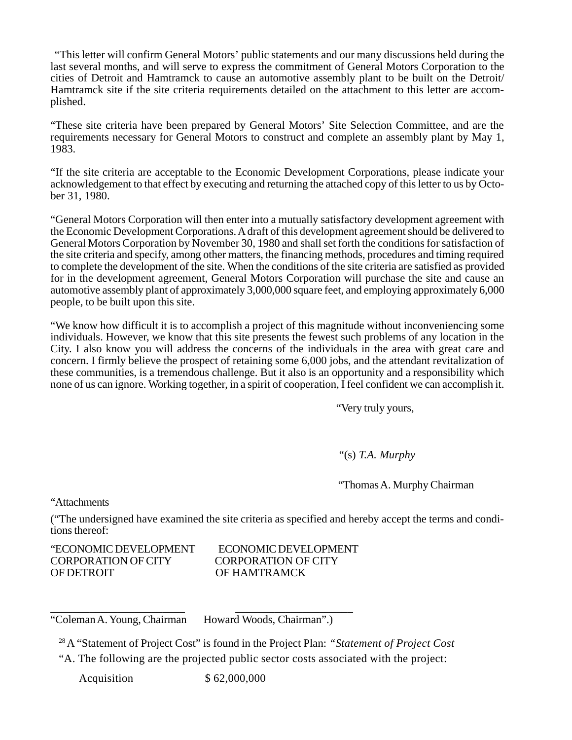"This letter will confirm General Motors' public statements and our many discussions held during the last several months, and will serve to express the commitment of General Motors Corporation to the cities of Detroit and Hamtramck to cause an automotive assembly plant to be built on the Detroit/ Hamtramck site if the site criteria requirements detailed on the attachment to this letter are accomplished.

"These site criteria have been prepared by General Motors' Site Selection Committee, and are the requirements necessary for General Motors to construct and complete an assembly plant by May 1, 1983.

"If the site criteria are acceptable to the Economic Development Corporations, please indicate your acknowledgement to that effect by executing and returning the attached copy of this letter to us by October 31, 1980.

"General Motors Corporation will then enter into a mutually satisfactory development agreement with the Economic Development Corporations. A draft of this development agreement should be delivered to General Motors Corporation by November 30, 1980 and shall set forth the conditions for satisfaction of the site criteria and specify, among other matters, the financing methods, procedures and timing required to complete the development of the site. When the conditions of the site criteria are satisfied as provided for in the development agreement, General Motors Corporation will purchase the site and cause an automotive assembly plant of approximately 3,000,000 square feet, and employing approximately 6,000 people, to be built upon this site.

"We know how difficult it is to accomplish a project of this magnitude without inconveniencing some individuals. However, we know that this site presents the fewest such problems of any location in the City. I also know you will address the concerns of the individuals in the area with great care and concern. I firmly believe the prospect of retaining some 6,000 jobs, and the attendant revitalization of these communities, is a tremendous challenge. But it also is an opportunity and a responsibility which none of us can ignore. Working together, in a spirit of cooperation, I feel confident we can accomplish it.

"Very truly yours,

"(s) *T.A. Murphy*

"Thomas A. Murphy Chairman

"Attachments

("The undersigned have examined the site criteria as specified and hereby accept the terms and conditions thereof:

"ECONOMIC DEVELOPMENT ECONOMIC DEVELOPMENT CORPORATION OF CITY CORPORATION OF CITY<br>OF DETROIT OF HAMTRAMCK

OF HAMTRAMCK

\_\_\_\_\_\_\_\_\_\_\_\_\_\_\_\_\_\_\_\_\_\_\_\_ \_\_\_\_\_\_\_\_\_\_\_\_\_\_\_\_\_\_\_\_\_ "Coleman A. Young, Chairman Howard Woods, Chairman".)

28 A "Statement of Project Cost" is found in the Project Plan: *"Statement of Project Cost* "A. The following are the projected public sector costs associated with the project:

Acquisition \$ 62,000,000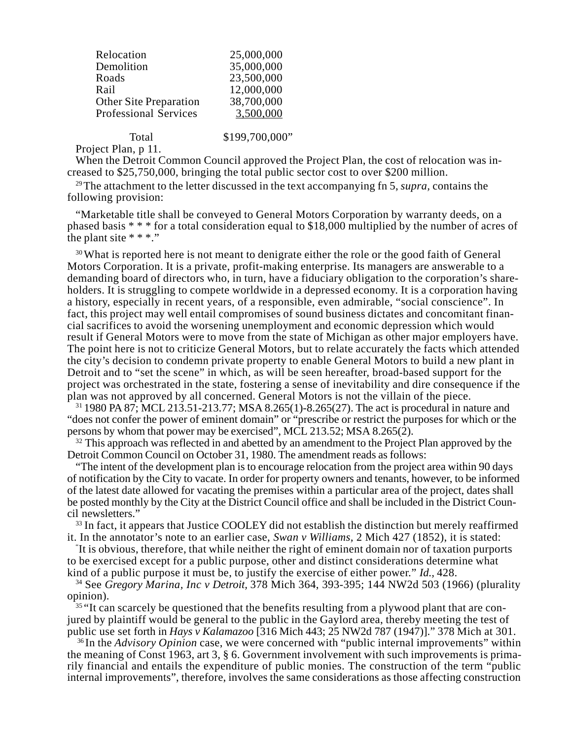| Relocation                    | 25,000,000 |
|-------------------------------|------------|
| Demolition                    | 35,000,000 |
| Roads                         | 23,500,000 |
| Rail                          | 12,000,000 |
| <b>Other Site Preparation</b> | 38,700,000 |
| <b>Professional Services</b>  | 3,500,000  |

Total \$199,700,000"

Project Plan, p 11.

When the Detroit Common Council approved the Project Plan, the cost of relocation was increased to \$25,750,000, bringing the total public sector cost to over \$200 million.

29 The attachment to the letter discussed in the text accompanying fn 5, *supra,* contains the following provision:

"Marketable title shall be conveyed to General Motors Corporation by warranty deeds, on a phased basis \* \* \* for a total consideration equal to \$18,000 multiplied by the number of acres of the plant site  $***$ ."

 $30$  What is reported here is not meant to denigrate either the role or the good faith of General Motors Corporation. It is a private, profit-making enterprise. Its managers are answerable to a demanding board of directors who, in turn, have a fiduciary obligation to the corporation's shareholders. It is struggling to compete worldwide in a depressed economy. It is a corporation having a history, especially in recent years, of a responsible, even admirable, "social conscience". In fact, this project may well entail compromises of sound business dictates and concomitant financial sacrifices to avoid the worsening unemployment and economic depression which would result if General Motors were to move from the state of Michigan as other major employers have. The point here is not to criticize General Motors, but to relate accurately the facts which attended the city's decision to condemn private property to enable General Motors to build a new plant in Detroit and to "set the scene" in which, as will be seen hereafter, broad-based support for the project was orchestrated in the state, fostering a sense of inevitability and dire consequence if the plan was not approved by all concerned. General Motors is not the villain of the piece.

31 1980 PA 87; MCL 213.51-213.77; MSA 8.265(1)-8.265(27). The act is procedural in nature and "does not confer the power of eminent domain" or "prescribe or restrict the purposes for which or the persons by whom that power may be exercised", MCL 213.52; MSA 8.265(2).

<sup>32</sup> This approach was reflected in and abetted by an amendment to the Project Plan approved by the Detroit Common Council on October 31, 1980. The amendment reads as follows:

"The intent of the development plan is to encourage relocation from the project area within 90 days of notification by the City to vacate. In order for property owners and tenants, however, to be informed of the latest date allowed for vacating the premises within a particular area of the project, dates shall be posted monthly by the City at the District Council office and shall be included in the District Council newsletters."

<sup>33</sup> In fact, it appears that Justice COOLEY did not establish the distinction but merely reaffirmed it. In the annotator's note to an earlier case, *Swan v Williams,* 2 Mich 427 (1852), it is stated:

" It is obvious, therefore, that while neither the right of eminent domain nor of taxation purports to be exercised except for a public purpose, other and distinct considerations determine what kind of a public purpose it must be, to justify the exercise of either power." *Id.,* 428.

34 See *Gregory Marina, Inc v Detroit,* 378 Mich 364, 393-395; 144 NW2d 503 (1966) (plurality opinion).

<sup>35</sup> "It can scarcely be questioned that the benefits resulting from a plywood plant that are conjured by plaintiff would be general to the public in the Gaylord area, thereby meeting the test of public use set forth in *Hays v Kalamazoo* [316 Mich 443; 25 NW2d 787 (1947)]." 378 Mich at 301.

36 In the *Advisory Opinion* case, we were concerned with "public internal improvements" within the meaning of Const 1963, art 3, § 6. Government involvement with such improvements is primarily financial and entails the expenditure of public monies. The construction of the term "public internal improvements", therefore, involves the same considerations as those affecting construction